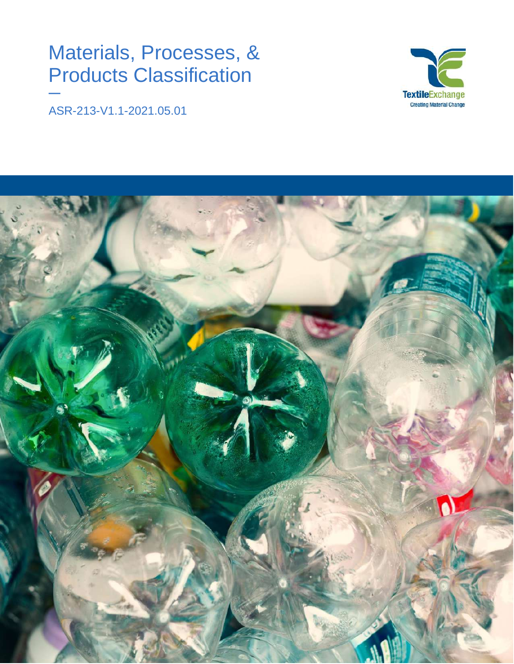# Materials, Processes, & Products Classification



ASR-213-V1.1-2021.05.01

**—**

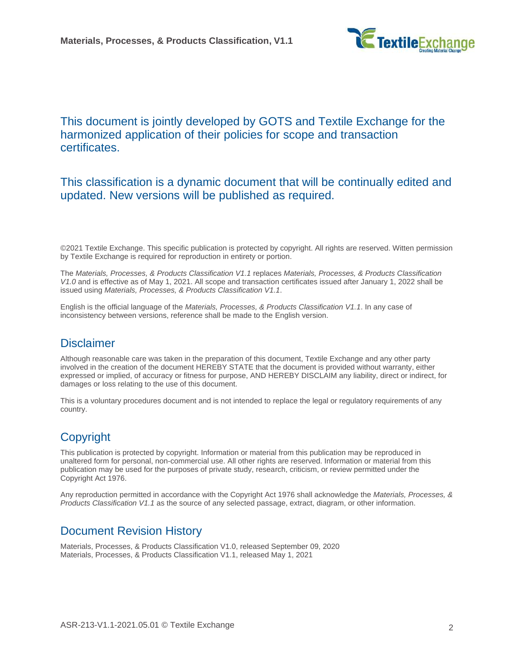

## This document is jointly developed by GOTS and Textile Exchange for the harmonized application of their policies for scope and transaction certificates.

### This classification is a dynamic document that will be continually edited and updated. New versions will be published as required.

©2021 Textile Exchange. This specific publication is protected by copyright. All rights are reserved. Witten permission by Textile Exchange is required for reproduction in entirety or portion.

The *Materials, Processes, & Products Classification V1.1* replaces *Materials, Processes, & Products Classification V1.0* and is effective as of May 1, 2021. All scope and transaction certificates issued after January 1, 2022 shall be issued using *Materials, Processes, & Products Classification V1.1*.

English is the official language of the *Materials, Processes, & Products Classification V1.1*. In any case of inconsistency between versions, reference shall be made to the English version.

## **Disclaimer**

Although reasonable care was taken in the preparation of this document, Textile Exchange and any other party involved in the creation of the document HEREBY STATE that the document is provided without warranty, either expressed or implied, of accuracy or fitness for purpose, AND HEREBY DISCLAIM any liability, direct or indirect, for damages or loss relating to the use of this document.

This is a voluntary procedures document and is not intended to replace the legal or regulatory requirements of any country.

## Copyright

This publication is protected by copyright. Information or material from this publication may be reproduced in unaltered form for personal, non-commercial use. All other rights are reserved. Information or material from this publication may be used for the purposes of private study, research, criticism, or review permitted under the Copyright Act 1976.

Any reproduction permitted in accordance with the Copyright Act 1976 shall acknowledge the *Materials, Processes, & Products Classification V1.1* as the source of any selected passage, extract, diagram, or other information.

## Document Revision History

Materials, Processes, & Products Classification V1.0, released September 09, 2020 Materials, Processes, & Products Classification V1.1, released May 1, 2021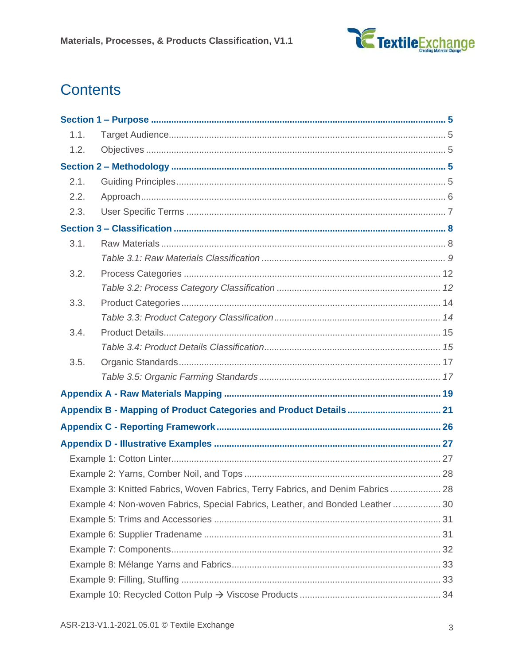

## **Contents**

| 1.1. |                                                                                 |  |
|------|---------------------------------------------------------------------------------|--|
| 1.2. |                                                                                 |  |
|      |                                                                                 |  |
| 2.1. |                                                                                 |  |
| 2.2. |                                                                                 |  |
| 2.3. |                                                                                 |  |
|      |                                                                                 |  |
| 3.1. |                                                                                 |  |
|      |                                                                                 |  |
| 3.2. |                                                                                 |  |
|      |                                                                                 |  |
| 3.3. |                                                                                 |  |
|      |                                                                                 |  |
| 3.4. |                                                                                 |  |
|      |                                                                                 |  |
| 3.5. |                                                                                 |  |
|      |                                                                                 |  |
|      |                                                                                 |  |
|      |                                                                                 |  |
|      |                                                                                 |  |
|      |                                                                                 |  |
|      |                                                                                 |  |
|      |                                                                                 |  |
|      | Example 3: Knitted Fabrics, Woven Fabrics, Terry Fabrics, and Denim Fabrics  28 |  |
|      | Example 4: Non-woven Fabrics, Special Fabrics, Leather, and Bonded Leather  30  |  |
|      |                                                                                 |  |
|      |                                                                                 |  |
|      |                                                                                 |  |
|      |                                                                                 |  |
|      |                                                                                 |  |
|      |                                                                                 |  |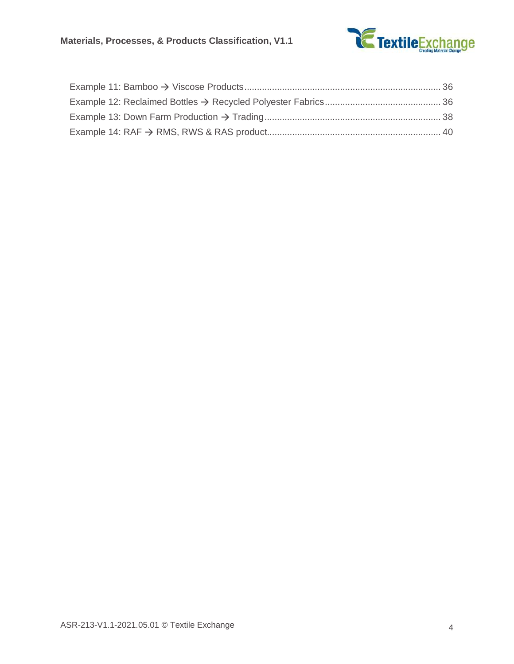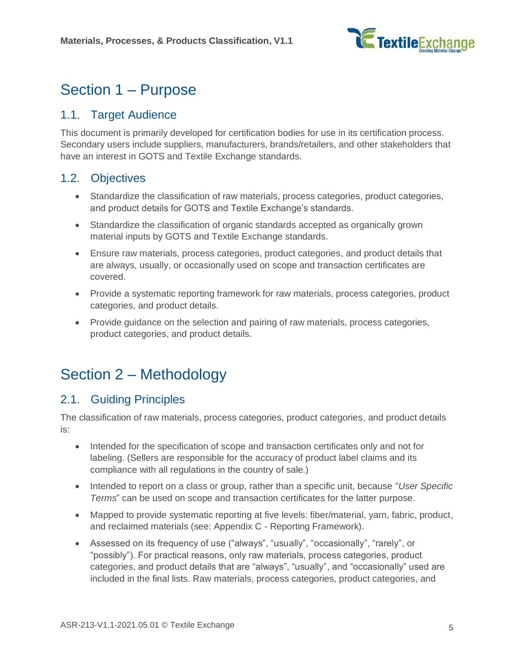

## <span id="page-4-0"></span>Section 1 – Purpose

## <span id="page-4-1"></span>1.1. Target Audience

This document is primarily developed for certification bodies for use in its certification process. Secondary users include suppliers, manufacturers, brands/retailers, and other stakeholders that have an interest in GOTS and Textile Exchange standards.

## <span id="page-4-2"></span>1.2. Objectives

- Standardize the classification of raw materials, process categories, product categories, and product details for GOTS and Textile Exchange's standards.
- Standardize the classification of organic standards accepted as organically grown material inputs by GOTS and Textile Exchange standards.
- Ensure raw materials, process categories, product categories, and product details that are always, usually, or occasionally used on scope and transaction certificates are covered.
- Provide a systematic reporting framework for raw materials, process categories, product categories, and product details.
- Provide guidance on the selection and pairing of raw materials, process categories, product categories, and product details.

## <span id="page-4-3"></span>Section 2 – Methodology

## <span id="page-4-4"></span>2.1. Guiding Principles

The classification of raw materials, process categories, product categories, and product details is:

- Intended for the specification of scope and transaction certificates only and not for labeling. (Sellers are responsible for the accuracy of product label claims and its compliance with all regulations in the country of sale.)
- Intended to report on a class or group, rather than a specific unit, because "*[User Specific](#page-6-0)  [Terms](#page-6-0)*" can be used on scope and transaction certificates for the latter purpose.
- Mapped to provide systematic reporting at five levels: fiber/material, yarn, fabric, product, and reclaimed materials (see: Appendix C - Reporting Framework).
- Assessed on its frequency of use ("always", "usually", "occasionally", "rarely", or "possibly"). For practical reasons, only raw materials, process categories, product categories, and product details that are "always", "usually", and "occasionally" used are included in the final lists. Raw materials, process categories, product categories, and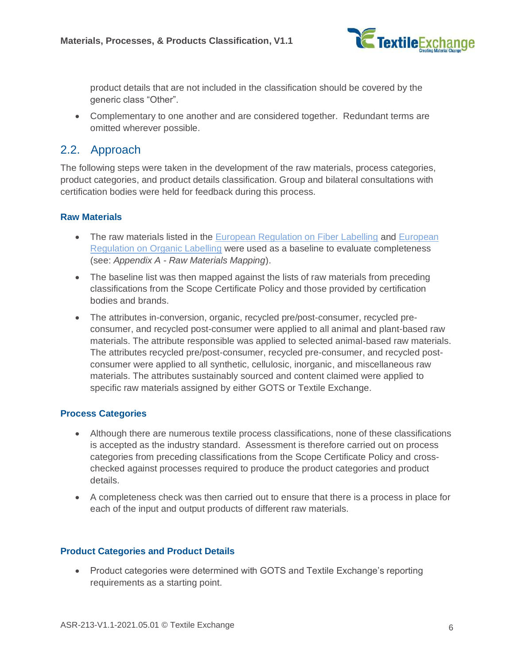

product details that are not included in the classification should be covered by the generic class "Other".

• Complementary to one another and are considered together. Redundant terms are omitted wherever possible.

### <span id="page-5-0"></span>2.2. Approach

The following steps were taken in the development of the raw materials, process categories, product categories, and product details classification. Group and bilateral consultations with certification bodies were held for feedback during this process.

#### **Raw Materials**

- The raw materials listed in the [European Regulation on Fiber Labelling](https://eur-lex.europa.eu/legal-content/EN/TXT/PDF/?uri=CELEX:02011R1007-20180215&from=EN) and European [Regulation on Organic Labelling](https://eur-lex.europa.eu/legal-content/EN/TXT/PDF/?uri=CELEX:32008R0889&from=EN) were used as a baseline to evaluate completeness (see: *Appendix A - [Raw Materials Mapping](#page-18-0)*).
- The baseline list was then mapped against the lists of raw materials from preceding classifications from the Scope Certificate Policy and those provided by certification bodies and brands.
- The attributes in-conversion, organic, recycled pre/post-consumer, recycled preconsumer, and recycled post-consumer were applied to all animal and plant-based raw materials. The attribute responsible was applied to selected animal-based raw materials. The attributes recycled pre/post-consumer, recycled pre-consumer, and recycled postconsumer were applied to all synthetic, cellulosic, inorganic, and miscellaneous raw materials. The attributes sustainably sourced and content claimed were applied to specific raw materials assigned by either GOTS or Textile Exchange.

#### **Process Categories**

- Although there are numerous textile process classifications, none of these classifications is accepted as the industry standard. Assessment is therefore carried out on process categories from preceding classifications from the Scope Certificate Policy and crosschecked against processes required to produce the product categories and product details.
- A completeness check was then carried out to ensure that there is a process in place for each of the input and output products of different raw materials.

#### **Product Categories and Product Details**

• Product categories were determined with GOTS and Textile Exchange's reporting requirements as a starting point.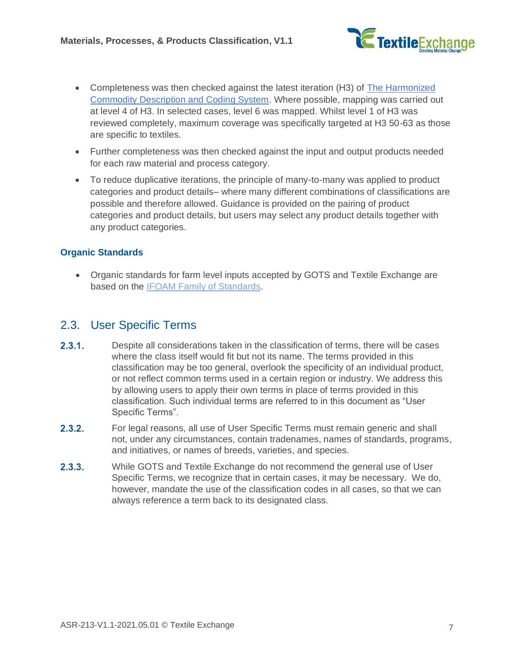

- Completeness was then checked against the latest iteration (H3) of [The Harmonized](https://tradecouncil.org/harmonized-system-codes/)  [Commodity Description and Coding System.](https://tradecouncil.org/harmonized-system-codes/) Where possible, mapping was carried out at level 4 of H3. In selected cases, level 6 was mapped. Whilst level 1 of H3 was reviewed completely, maximum coverage was specifically targeted at H3 50-63 as those are specific to textiles.
- Further completeness was then checked against the input and output products needed for each raw material and process category.
- To reduce duplicative iterations, the principle of many-to-many was applied to product categories and product details– where many different combinations of classifications are possible and therefore allowed. Guidance is provided on the pairing of product categories and product details, but users may select any product details together with any product categories.

#### **Organic Standards**

• Organic standards for farm level inputs accepted by GOTS and Textile Exchange are based on the [IFOAM Family of Standards.](https://www.ifoam.bio/sites/default/files/2020-05/familyframe_web_0.pdf)

### <span id="page-6-0"></span>2.3. User Specific Terms

- $2.3.1.$ Despite all considerations taken in the classification of terms, there will be cases where the class itself would fit but not its name. The terms provided in this classification may be too general, overlook the specificity of an individual product, or not reflect common terms used in a certain region or industry. We address this by allowing users to apply their own terms in place of terms provided in this classification. Such individual terms are referred to in this document as "User Specific Terms".
- $2.3.2.$ For legal reasons, all use of User Specific Terms must remain generic and shall not, under any circumstances, contain tradenames, names of standards, programs, and initiatives, or names of breeds, varieties, and species.
- $2.3.3.$ While GOTS and Textile Exchange do not recommend the general use of User Specific Terms, we recognize that in certain cases, it may be necessary. We do, however, mandate the use of the classification codes in all cases, so that we can always reference a term back to its designated class.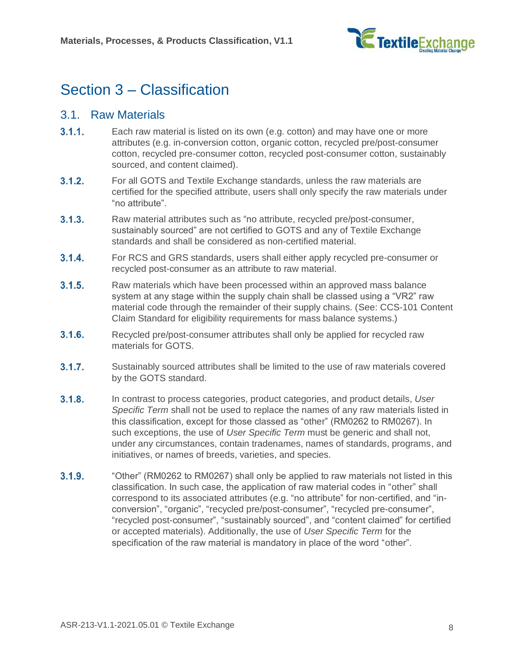

## <span id="page-7-0"></span>Section 3 – Classification

#### <span id="page-7-1"></span>3.1. Raw Materials

- $3.1.1$ Each raw material is listed on its own (e.g. cotton) and may have one or more attributes (e.g. in-conversion cotton, organic cotton, recycled pre/post-consumer cotton, recycled pre-consumer cotton, recycled post-consumer cotton, sustainably sourced, and content claimed).
- $3.1.2.$ For all GOTS and Textile Exchange standards, unless the raw materials are certified for the specified attribute, users shall only specify the raw materials under "no attribute".
- $3.1.3.$ Raw material attributes such as "no attribute, recycled pre/post-consumer, sustainably sourced" are not certified to GOTS and any of Textile Exchange standards and shall be considered as non-certified material.
- $3.1.4.$ For RCS and GRS standards, users shall either apply recycled pre-consumer or recycled post-consumer as an attribute to raw material.
- $3.1.5.$ Raw materials which have been processed within an approved mass balance system at any stage within the supply chain shall be classed using a "VR2" raw material code through the remainder of their supply chains. (See: CCS-101 Content Claim Standard for eligibility requirements for mass balance systems.)
- $3.1.6.$ Recycled pre/post-consumer attributes shall only be applied for recycled raw materials for GOTS.
- $3.1.7.$ Sustainably sourced attributes shall be limited to the use of raw materials covered by the GOTS standard.
- $3.1.8.$ In contrast to process categories, product categories, and product details, *[User](#page-6-0)  [Specific Term](#page-6-0)* shall not be used to replace the names of any raw materials listed in this classification, except for those classed as "other" (RM0262 to RM0267). In such exceptions, the use of *[User Specific Term](#page-6-0)* must be generic and shall not, under any circumstances, contain tradenames, names of standards, programs, and initiatives, or names of breeds, varieties, and species.
- $3.1.9.$ "Other" (RM0262 to RM0267) shall only be applied to raw materials not listed in this classification. In such case, the application of raw material codes in "other" shall correspond to its associated attributes (e.g. "no attribute" for non-certified, and "inconversion", "organic", "recycled pre/post-consumer", "recycled pre-consumer", "recycled post-consumer", "sustainably sourced", and "content claimed" for certified or accepted materials). Additionally, the use of *[User Specific Term](#page-6-0)* for the specification of the raw material is mandatory in place of the word "other".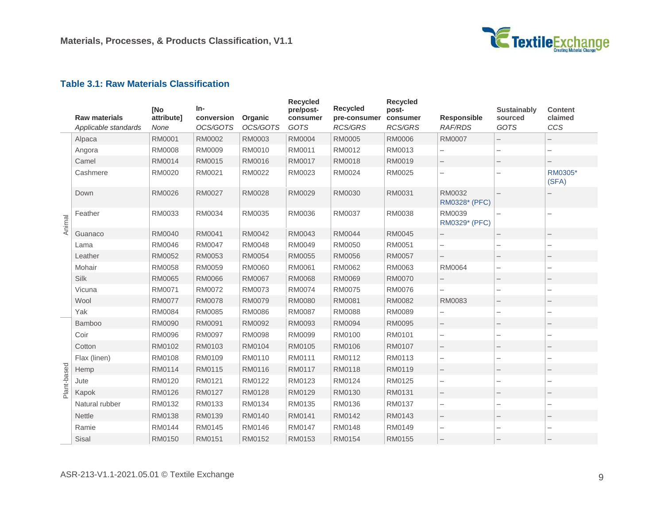

#### **Table 3.1: Raw Materials Classification**

<span id="page-8-0"></span>

|             | <b>Raw materials</b><br>Applicable standards | [No<br>attribute]<br>None | In-<br>conversion<br>OCS/GOTS | Organic<br>OCS/GOTS | <b>Recycled</b><br>pre/post-<br>consumer<br>GOTS | <b>Recycled</b><br>pre-consumer<br><b>RCS/GRS</b> | <b>Recycled</b><br>post-<br>consumer<br><b>RCS/GRS</b> | Responsible<br><b>RAF/RDS</b> | <b>Sustainably</b><br>sourced<br><b>GOTS</b> | <b>Content</b><br>claimed<br>CCS |
|-------------|----------------------------------------------|---------------------------|-------------------------------|---------------------|--------------------------------------------------|---------------------------------------------------|--------------------------------------------------------|-------------------------------|----------------------------------------------|----------------------------------|
|             | Alpaca                                       | RM0001                    | RM0002                        | RM0003              | <b>RM0004</b>                                    | RM0005                                            | <b>RM0006</b>                                          | <b>RM0007</b>                 |                                              |                                  |
|             | Angora                                       | <b>RM0008</b>             | RM0009                        | RM0010              | RM0011                                           | RM0012                                            | RM0013                                                 |                               |                                              |                                  |
|             | Camel                                        | RM0014                    | RM0015                        | RM0016              | RM0017                                           | RM0018                                            | RM0019                                                 |                               |                                              |                                  |
|             | Cashmere                                     | RM0020                    | RM0021                        | RM0022              | RM0023                                           | RM0024                                            | RM0025                                                 | $\overline{\phantom{0}}$      |                                              | RM0305*<br>(SFA)                 |
|             | Down                                         | RM0026                    | <b>RM0027</b>                 | RM0028              | RM0029                                           | RM0030                                            | RM0031                                                 | RM0032<br>RM0328* (PFC)       |                                              |                                  |
| Animal      | Feather                                      | RM0033                    | RM0034                        | RM0035              | RM0036                                           | RM0037                                            | RM0038                                                 | RM0039<br>RM0329* (PFC)       |                                              |                                  |
|             | Guanaco                                      | RM0040                    | RM0041                        | RM0042              | RM0043                                           | <b>RM0044</b>                                     | RM0045                                                 |                               |                                              |                                  |
|             | Lama                                         | RM0046                    | <b>RM0047</b>                 | RM0048              | RM0049                                           | RM0050                                            | RM0051                                                 |                               |                                              |                                  |
|             | Leather                                      | RM0052                    | RM0053                        | RM0054              | RM0055                                           | RM0056                                            | RM0057                                                 | $\overline{\phantom{0}}$      |                                              |                                  |
|             | Mohair                                       | RM0058                    | RM0059                        | RM0060              | RM0061                                           | RM0062                                            | RM0063                                                 | RM0064                        |                                              |                                  |
|             | Silk                                         | RM0065                    | <b>RM0066</b>                 | RM0067              | RM0068                                           | RM0069                                            | <b>RM0070</b>                                          |                               |                                              | -                                |
|             | Vicuna                                       | RM0071                    | RM0072                        | RM0073              | RM0074                                           | RM0075                                            | RM0076                                                 |                               |                                              |                                  |
|             | Wool                                         | <b>RM0077</b>             | <b>RM0078</b>                 | RM0079              | <b>RM0080</b>                                    | RM0081                                            | RM0082                                                 | RM0083                        |                                              |                                  |
|             | Yak                                          | RM0084                    | RM0085                        | RM0086              | RM0087                                           | <b>RM0088</b>                                     | RM0089                                                 |                               |                                              |                                  |
|             | Bamboo                                       | RM0090                    | RM0091                        | RM0092              | RM0093                                           | <b>RM0094</b>                                     | RM0095                                                 |                               |                                              |                                  |
|             | Coir                                         | RM0096                    | <b>RM0097</b>                 | RM0098              | RM0099                                           | RM0100                                            | RM0101                                                 | $\overline{\phantom{0}}$      |                                              |                                  |
|             | Cotton                                       | RM0102                    | RM0103                        | RM0104              | RM0105                                           | RM0106                                            | RM0107                                                 |                               |                                              |                                  |
|             | Flax (linen)                                 | RM0108                    | RM0109                        | RM0110              | RM0111                                           | RM0112                                            | RM0113                                                 | $\overline{\phantom{0}}$      |                                              | $\overline{\phantom{0}}$         |
|             | Hemp                                         | RM0114                    | RM0115                        | RM0116              | RM0117                                           | RM0118                                            | RM0119                                                 |                               |                                              |                                  |
| Plant-based | Jute                                         | RM0120                    | RM0121                        | RM0122              | RM0123                                           | RM0124                                            | RM0125                                                 | $\overline{\phantom{0}}$      |                                              | -                                |
|             | Kapok                                        | RM0126                    | RM0127                        | RM0128              | RM0129                                           | RM0130                                            | RM0131                                                 |                               |                                              |                                  |
|             | Natural rubber                               | RM0132                    | RM0133                        | RM0134              | RM0135                                           | RM0136                                            | RM0137                                                 | $\overline{\phantom{0}}$      |                                              | $\overline{\phantom{0}}$         |
|             | <b>Nettle</b>                                | RM0138                    | RM0139                        | RM0140              | RM0141                                           | RM0142                                            | RM0143                                                 |                               |                                              |                                  |
|             | Ramie                                        | RM0144                    | RM0145                        | RM0146              | RM0147                                           | RM0148                                            | RM0149                                                 |                               |                                              |                                  |
|             | Sisal                                        | RM0150                    | RM0151                        | RM0152              | RM0153                                           | RM0154                                            | RM0155                                                 |                               |                                              |                                  |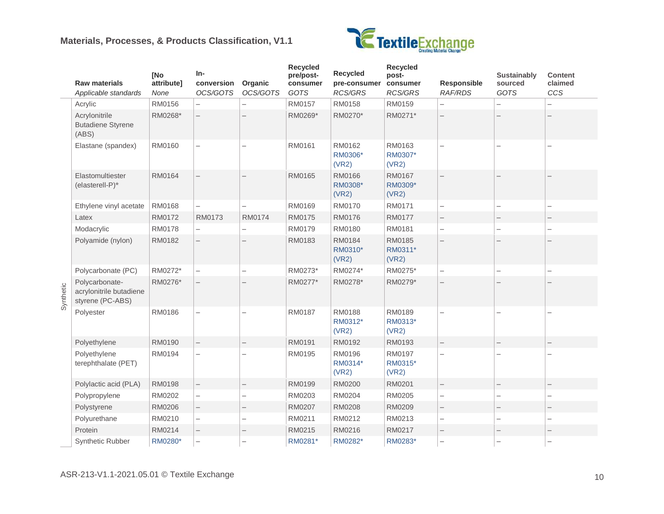#### **Materials, Processes, & Products Classification, V1.1**



|           | <b>Raw materials</b><br>Applicable standards                  | <b>INo</b><br>attribute]<br>None | $In-$<br>conversion<br>OCS/GOTS | Organic<br>OCS/GOTS      | <b>Recycled</b><br>pre/post-<br>consumer<br>GOTS | Recycled<br>pre-consumer<br>RCS/GRS | <b>Recycled</b><br>post-<br>consumer<br>RCS/GRS | Responsible<br><b>RAF/RDS</b> | <b>Sustainably</b><br>sourced<br>GOTS | <b>Content</b><br>claimed<br>CCS |
|-----------|---------------------------------------------------------------|----------------------------------|---------------------------------|--------------------------|--------------------------------------------------|-------------------------------------|-------------------------------------------------|-------------------------------|---------------------------------------|----------------------------------|
|           | Acrylic                                                       | RM0156                           |                                 |                          | RM0157                                           | RM0158                              | RM0159                                          |                               |                                       |                                  |
|           | Acrylonitrile<br><b>Butadiene Styrene</b><br>(ABS)            | RM0268*                          |                                 |                          | RM0269*                                          | RM0270*                             | RM0271*                                         |                               |                                       |                                  |
|           | Elastane (spandex)                                            | RM0160                           |                                 |                          | RM0161                                           | RM0162<br>RM0306*<br>(VR2)          | RM0163<br>RM0307*<br>(VR2)                      |                               |                                       |                                  |
|           | Elastomultiester<br>(elasterell-P)*                           | RM0164                           |                                 |                          | RM0165                                           | RM0166<br>RM0308*<br>(VR2)          | RM0167<br>RM0309*<br>(VR2)                      |                               |                                       |                                  |
|           | Ethylene vinyl acetate                                        | RM0168                           |                                 |                          | RM0169                                           | RM0170                              | RM0171                                          |                               |                                       |                                  |
|           | Latex                                                         | RM0172                           | RM0173                          | RM0174                   | RM0175                                           | RM0176                              | RM0177                                          | $\overline{\phantom{a}}$      |                                       |                                  |
|           | Modacrylic                                                    | RM0178                           | $\overline{\phantom{0}}$        | $\overline{\phantom{0}}$ | RM0179                                           | RM0180                              | RM0181                                          | $\overline{\phantom{0}}$      |                                       | -                                |
|           | Polyamide (nylon)                                             | RM0182                           |                                 | $\overline{\phantom{0}}$ | RM0183                                           | RM0184<br>RM0310*<br>(VR2)          | RM0185<br>RM0311*<br>(VR2)                      |                               |                                       |                                  |
|           | Polycarbonate (PC)                                            | RM0272*                          |                                 | $\overline{\phantom{0}}$ | RM0273*                                          | RM0274*                             | RM0275*                                         | $\overline{\phantom{0}}$      |                                       | ÷,                               |
| Synthetic | Polycarbonate-<br>acrylonitrile butadiene<br>styrene (PC-ABS) | RM0276*                          | $\overline{\phantom{0}}$        |                          | RM0277*                                          | RM0278*                             | RM0279*                                         | $\overline{\phantom{0}}$      |                                       |                                  |
|           | Polyester                                                     | RM0186                           |                                 |                          | RM0187                                           | RM0188<br>RM0312*<br>(VR2)          | RM0189<br>RM0313*<br>(VR2)                      |                               |                                       |                                  |
|           | Polyethylene                                                  | RM0190                           | $\overline{\phantom{0}}$        | $\overline{\phantom{0}}$ | RM0191                                           | RM0192                              | RM0193                                          | $\overline{\phantom{0}}$      |                                       |                                  |
|           | Polyethylene<br>terephthalate (PET)                           | RM0194                           |                                 | $\overline{\phantom{0}}$ | RM0195                                           | RM0196<br>RM0314*<br>(VR2)          | RM0197<br>RM0315*<br>(VR2)                      |                               |                                       |                                  |
|           | Polylactic acid (PLA)                                         | RM0198                           | $\overline{\phantom{0}}$        | $\overline{\phantom{a}}$ | RM0199                                           | RM0200                              | RM0201                                          | -                             |                                       |                                  |
|           | Polypropylene                                                 | RM0202                           |                                 |                          | RM0203                                           | RM0204                              | RM0205                                          |                               |                                       |                                  |
|           | Polystyrene                                                   | RM0206                           |                                 |                          | RM0207                                           | <b>RM0208</b>                       | RM0209                                          |                               |                                       |                                  |
|           | Polyurethane                                                  | RM0210                           |                                 | $\overline{\phantom{0}}$ | RM0211                                           | RM0212                              | RM0213                                          | $\overline{\phantom{0}}$      |                                       |                                  |
|           | Protein                                                       | RM0214                           | $\overline{\phantom{0}}$        | —                        | RM0215                                           | RM0216                              | RM0217                                          | $\overline{\phantom{0}}$      |                                       |                                  |
|           | <b>Synthetic Rubber</b>                                       | RM0280*                          |                                 |                          | RM0281*                                          | RM0282*                             | RM0283*                                         |                               |                                       |                                  |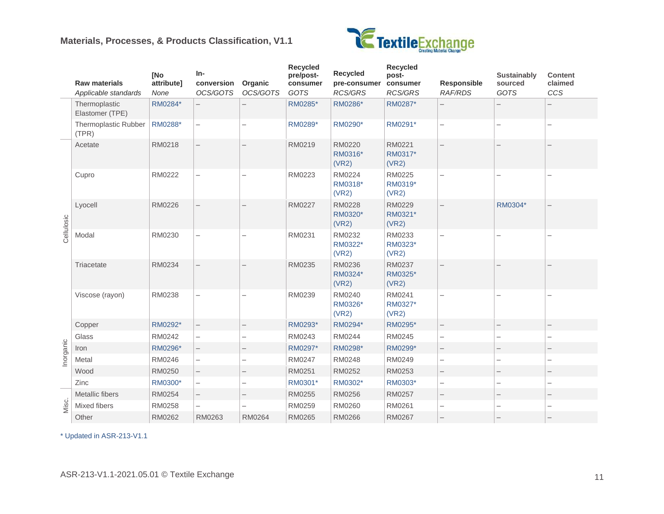#### **Materials, Processes, & Products Classification, V1.1**



|            | <b>Raw materials</b><br>Applicable standards | [No<br>attribute]<br>None | In-<br>conversion<br>OCS/GOTS | Organic<br>OCS/GOTS      | <b>Recycled</b><br>pre/post-<br>consumer<br>GOTS | <b>Recycled</b><br>pre-consumer<br><b>RCS/GRS</b> | <b>Recycled</b><br>post-<br>consumer<br><b>RCS/GRS</b> | <b>Responsible</b><br><b>RAF/RDS</b> | Sustainably<br>sourced<br>GOTS | <b>Content</b><br>claimed<br>CCS |
|------------|----------------------------------------------|---------------------------|-------------------------------|--------------------------|--------------------------------------------------|---------------------------------------------------|--------------------------------------------------------|--------------------------------------|--------------------------------|----------------------------------|
|            | Thermoplastic<br>Elastomer (TPE)             | RM0284*                   |                               |                          | RM0285*                                          | RM0286*                                           | RM0287*                                                |                                      |                                |                                  |
|            | Thermoplastic Rubber<br>(TPR)                | RM0288*                   |                               |                          | RM0289*                                          | RM0290*                                           | RM0291*                                                |                                      |                                | -                                |
|            | Acetate                                      | RM0218                    | $\overline{\phantom{0}}$      |                          | RM0219                                           | RM0220<br>RM0316*<br>(VR2)                        | RM0221<br>RM0317*<br>(VR2)                             |                                      |                                |                                  |
|            | Cupro                                        | RM0222                    |                               |                          | RM0223                                           | RM0224<br>RM0318*<br>(VR2)                        | RM0225<br>RM0319*<br>(VR2)                             |                                      |                                |                                  |
| Cellulosic | Lyocell                                      | RM0226                    |                               |                          | <b>RM0227</b>                                    | RM0228<br>RM0320*<br>(VR2)                        | RM0229<br>RM0321*<br>(VR2)                             |                                      | RM0304*                        |                                  |
|            | Modal                                        | RM0230                    | $\overline{\phantom{0}}$      |                          | RM0231                                           | RM0232<br>RM0322*<br>(VR2)                        | RM0233<br>RM0323*<br>(VR2)                             |                                      |                                |                                  |
|            | Triacetate                                   | RM0234                    |                               |                          | RM0235                                           | RM0236<br>RM0324*<br>(VR2)                        | RM0237<br>RM0325*<br>(VR2)                             |                                      |                                |                                  |
|            | Viscose (rayon)                              | RM0238                    | -                             |                          | RM0239                                           | RM0240<br>RM0326*<br>(VR2)                        | RM0241<br>RM0327*<br>(VR2)                             |                                      |                                |                                  |
|            | Copper                                       | RM0292*                   |                               |                          | RM0293*                                          | RM0294*                                           | RM0295*                                                |                                      |                                |                                  |
|            | Glass                                        | RM0242                    | $\overline{\phantom{0}}$      | $\overline{\phantom{0}}$ | RM0243                                           | RM0244                                            | RM0245                                                 | $\overline{\phantom{0}}$             |                                | $\overline{\phantom{0}}$         |
|            | Iron                                         | RM0296*                   | $\overline{\phantom{0}}$      | $\overline{\phantom{0}}$ | RM0297*                                          | RM0298*                                           | RM0299*                                                | $\overline{\phantom{0}}$             |                                |                                  |
| Inorganic  | Metal                                        | RM0246                    |                               |                          | RM0247                                           | RM0248                                            | RM0249                                                 |                                      |                                |                                  |
|            | Wood                                         | RM0250                    |                               |                          | RM0251                                           | RM0252                                            | RM0253                                                 |                                      |                                |                                  |
|            | Zinc                                         | RM0300*                   | $\overline{\phantom{0}}$      | $\overline{\phantom{0}}$ | RM0301*                                          | RM0302*                                           | RM0303*                                                | $\overline{\phantom{0}}$             |                                | $\overline{\phantom{0}}$         |
|            | Metallic fibers                              | RM0254                    | $\overline{a}$                |                          | RM0255                                           | RM0256                                            | RM0257                                                 | $\equiv$                             |                                |                                  |
| Misc.      | Mixed fibers                                 | RM0258                    | $\overline{\phantom{0}}$      | —                        | RM0259                                           | RM0260                                            | RM0261                                                 |                                      |                                | $\overline{\phantom{0}}$         |
|            | Other                                        | RM0262                    | RM0263                        | RM0264                   | RM0265                                           | RM0266                                            | RM0267                                                 |                                      |                                |                                  |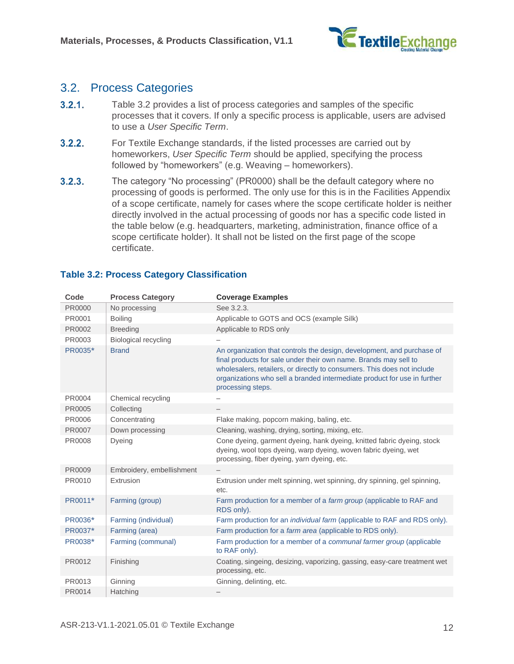

### <span id="page-11-0"></span>3.2. Process Categories

- $3.2.1.$ Table 3.2 provides a list of process categories and samples of the specific processes that it covers. If only a specific process is applicable, users are advised to use a *[User Specific Term](#page-6-0)*.
- $3.2.2.$ For Textile Exchange standards, if the listed processes are carried out by homeworkers, *[User Specific Term](#page-6-0)* should be applied, specifying the process followed by "homeworkers" (e.g. Weaving – homeworkers).
- $3.2.3.$ The category "No processing" (PR0000) shall be the default category where no processing of goods is performed. The only use for this is in the Facilities Appendix of a scope certificate, namely for cases where the scope certificate holder is neither directly involved in the actual processing of goods nor has a specific code listed in the table below (e.g. headquarters, marketing, administration, finance office of a scope certificate holder). It shall not be listed on the first page of the scope certificate.

| Code    | <b>Process Category</b>     | <b>Coverage Examples</b>                                                                                                                                                                                                                                                                                               |
|---------|-----------------------------|------------------------------------------------------------------------------------------------------------------------------------------------------------------------------------------------------------------------------------------------------------------------------------------------------------------------|
| PR0000  | No processing               | See 3.2.3.                                                                                                                                                                                                                                                                                                             |
| PR0001  | <b>Boiling</b>              | Applicable to GOTS and OCS (example Silk)                                                                                                                                                                                                                                                                              |
| PR0002  | <b>Breeding</b>             | Applicable to RDS only                                                                                                                                                                                                                                                                                                 |
| PR0003  | <b>Biological recycling</b> |                                                                                                                                                                                                                                                                                                                        |
| PR0035* | <b>Brand</b>                | An organization that controls the design, development, and purchase of<br>final products for sale under their own name. Brands may sell to<br>wholesalers, retailers, or directly to consumers. This does not include<br>organizations who sell a branded intermediate product for use in further<br>processing steps. |
| PR0004  | Chemical recycling          |                                                                                                                                                                                                                                                                                                                        |
| PR0005  | Collecting                  |                                                                                                                                                                                                                                                                                                                        |
| PR0006  | Concentrating               | Flake making, popcorn making, baling, etc.                                                                                                                                                                                                                                                                             |
| PR0007  | Down processing             | Cleaning, washing, drying, sorting, mixing, etc.                                                                                                                                                                                                                                                                       |
| PR0008  | Dyeing                      | Cone dyeing, garment dyeing, hank dyeing, knitted fabric dyeing, stock<br>dyeing, wool tops dyeing, warp dyeing, woven fabric dyeing, wet<br>processing, fiber dyeing, yarn dyeing, etc.                                                                                                                               |
| PR0009  | Embroidery, embellishment   |                                                                                                                                                                                                                                                                                                                        |
| PR0010  | Extrusion                   | Extrusion under melt spinning, wet spinning, dry spinning, gel spinning,<br>etc.                                                                                                                                                                                                                                       |
| PR0011* | Farming (group)             | Farm production for a member of a farm group (applicable to RAF and<br>RDS only).                                                                                                                                                                                                                                      |
| PR0036* | Farming (individual)        | Farm production for an <i>individual farm</i> (applicable to RAF and RDS only).                                                                                                                                                                                                                                        |
| PR0037* | Farming (area)              | Farm production for a farm area (applicable to RDS only).                                                                                                                                                                                                                                                              |
| PR0038* | Farming (communal)          | Farm production for a member of a communal farmer group (applicable<br>to RAF only).                                                                                                                                                                                                                                   |
| PR0012  | Finishing                   | Coating, singeing, desizing, vaporizing, gassing, easy-care treatment wet<br>processing, etc.                                                                                                                                                                                                                          |
| PR0013  | Ginning                     | Ginning, delinting, etc.                                                                                                                                                                                                                                                                                               |
| PR0014  | Hatching                    |                                                                                                                                                                                                                                                                                                                        |

#### <span id="page-11-1"></span>**Table 3.2: Process Category Classification**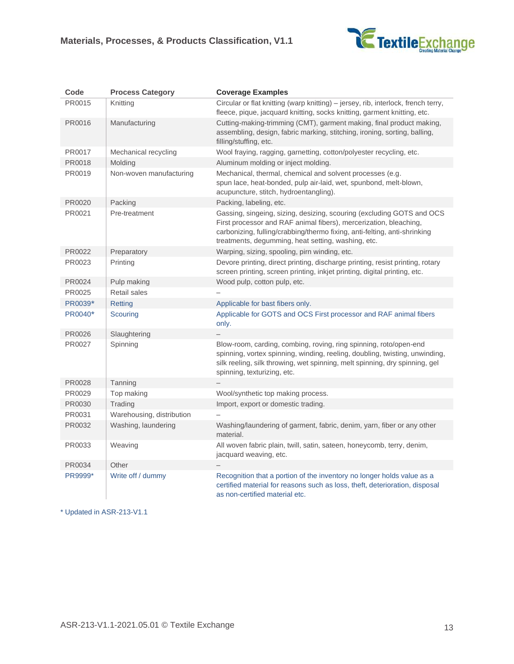

| Code    | <b>Process Category</b>   | <b>Coverage Examples</b>                                                                                                                                                                                                                                                      |
|---------|---------------------------|-------------------------------------------------------------------------------------------------------------------------------------------------------------------------------------------------------------------------------------------------------------------------------|
| PR0015  | Knitting                  | Circular or flat knitting (warp knitting) – jersey, rib, interlock, french terry,<br>fleece, pique, jacquard knitting, socks knitting, garment knitting, etc.                                                                                                                 |
| PR0016  | Manufacturing             | Cutting-making-trimming (CMT), garment making, final product making,<br>assembling, design, fabric marking, stitching, ironing, sorting, balling,<br>filling/stuffing, etc.                                                                                                   |
| PR0017  | Mechanical recycling      | Wool fraying, ragging, garnetting, cotton/polyester recycling, etc.                                                                                                                                                                                                           |
| PR0018  | Molding                   | Aluminum molding or inject molding.                                                                                                                                                                                                                                           |
| PR0019  | Non-woven manufacturing   | Mechanical, thermal, chemical and solvent processes (e.g.<br>spun lace, heat-bonded, pulp air-laid, wet, spunbond, melt-blown,<br>acupuncture, stitch, hydroentangling).                                                                                                      |
| PR0020  | Packing                   | Packing, labeling, etc.                                                                                                                                                                                                                                                       |
| PR0021  | Pre-treatment             | Gassing, singeing, sizing, desizing, scouring (excluding GOTS and OCS<br>First processor and RAF animal fibers), mercerization, bleaching,<br>carbonizing, fulling/crabbing/thermo fixing, anti-felting, anti-shrinking<br>treatments, degumming, heat setting, washing, etc. |
| PR0022  | Preparatory               | Warping, sizing, spooling, pirn winding, etc.                                                                                                                                                                                                                                 |
| PR0023  | Printing                  | Devore printing, direct printing, discharge printing, resist printing, rotary<br>screen printing, screen printing, inkjet printing, digital printing, etc.                                                                                                                    |
| PR0024  | Pulp making               | Wood pulp, cotton pulp, etc.                                                                                                                                                                                                                                                  |
| PR0025  | Retail sales              |                                                                                                                                                                                                                                                                               |
| PR0039* | Retting                   | Applicable for bast fibers only.                                                                                                                                                                                                                                              |
| PR0040* | Scouring                  | Applicable for GOTS and OCS First processor and RAF animal fibers<br>only.                                                                                                                                                                                                    |
| PR0026  | Slaughtering              |                                                                                                                                                                                                                                                                               |
| PR0027  | Spinning                  | Blow-room, carding, combing, roving, ring spinning, roto/open-end<br>spinning, vortex spinning, winding, reeling, doubling, twisting, unwinding,<br>silk reeling, silk throwing, wet spinning, melt spinning, dry spinning, gel<br>spinning, texturizing, etc.                |
| PR0028  | Tanning                   |                                                                                                                                                                                                                                                                               |
| PR0029  | Top making                | Wool/synthetic top making process.                                                                                                                                                                                                                                            |
| PR0030  | Trading                   | Import, export or domestic trading.                                                                                                                                                                                                                                           |
| PR0031  | Warehousing, distribution |                                                                                                                                                                                                                                                                               |
| PR0032  | Washing, laundering       | Washing/laundering of garment, fabric, denim, yarn, fiber or any other<br>material.                                                                                                                                                                                           |
| PR0033  | Weaving                   | All woven fabric plain, twill, satin, sateen, honeycomb, terry, denim,<br>jacquard weaving, etc.                                                                                                                                                                              |
| PR0034  | Other                     |                                                                                                                                                                                                                                                                               |
| PR9999* | Write off / dummy         | Recognition that a portion of the inventory no longer holds value as a<br>certified material for reasons such as loss, theft, deterioration, disposal<br>as non-certified material etc.                                                                                       |

\* Updated in ASR-213-V1.1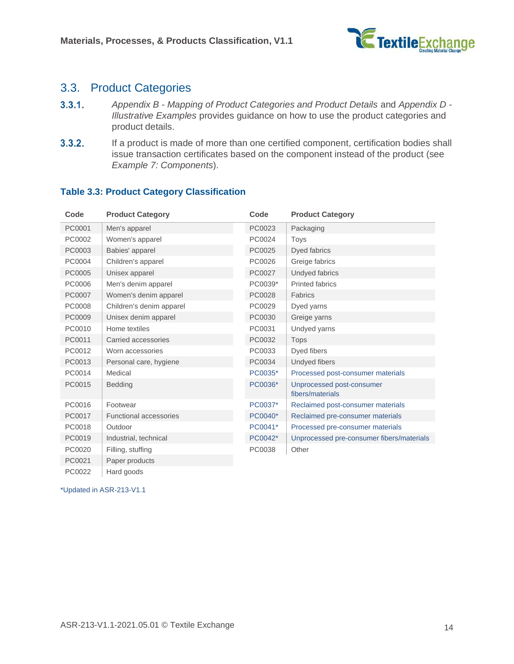

### <span id="page-13-0"></span>3.3. Product Categories

- $3.3.1.$ *Appendix B - [Mapping of Product Categories and Product Details](#page-20-0)* and *[Appendix D -](#page-26-0) [Illustrative Examples](#page-26-0)* provides guidance on how to use the product categories and product details.
- $3.3.2.$ If a product is made of more than one certified component, certification bodies shall issue transaction certificates based on the component instead of the product (see *[Example 7: Components](#page-31-0)*).

| Code   | <b>Product Category</b>       | Code    | <b>Product Category</b>                       |
|--------|-------------------------------|---------|-----------------------------------------------|
| PC0001 | Men's apparel                 | PC0023  | Packaging                                     |
| PC0002 | Women's apparel               | PC0024  | Toys                                          |
| PC0003 | Babies' apparel               | PC0025  | Dyed fabrics                                  |
| PC0004 | Children's apparel            | PC0026  | Greige fabrics                                |
| PC0005 | Unisex apparel                | PC0027  | Undyed fabrics                                |
| PC0006 | Men's denim apparel           | PC0039* | <b>Printed fabrics</b>                        |
| PC0007 | Women's denim apparel         | PC0028  | Fabrics                                       |
| PC0008 | Children's denim apparel      | PC0029  | Dyed yarns                                    |
| PC0009 | Unisex denim apparel          | PC0030  | Greige yarns                                  |
| PC0010 | Home textiles                 | PC0031  | Undyed yarns                                  |
| PC0011 | Carried accessories           | PC0032  | Tops                                          |
| PC0012 | Worn accessories              | PC0033  | Dyed fibers                                   |
| PC0013 | Personal care, hygiene        | PC0034  | Undyed fibers                                 |
| PC0014 | Medical                       | PC0035* | Processed post-consumer materials             |
| PC0015 | <b>Bedding</b>                | PC0036* | Unprocessed post-consumer<br>fibers/materials |
| PC0016 | Footwear                      | PC0037* | Reclaimed post-consumer materials             |
| PC0017 | <b>Functional accessories</b> | PC0040* | Reclaimed pre-consumer materials              |
| PC0018 | Outdoor                       | PC0041* | Processed pre-consumer materials              |
| PC0019 | Industrial, technical         | PC0042* | Unprocessed pre-consumer fibers/materials     |
| PC0020 | Filling, stuffing             | PC0038  | Other                                         |
| PC0021 | Paper products                |         |                                               |
| PC0022 | Hard goods                    |         |                                               |

#### <span id="page-13-1"></span>**Table 3.3: Product Category Classification**

\*Updated in ASR-213-V1.1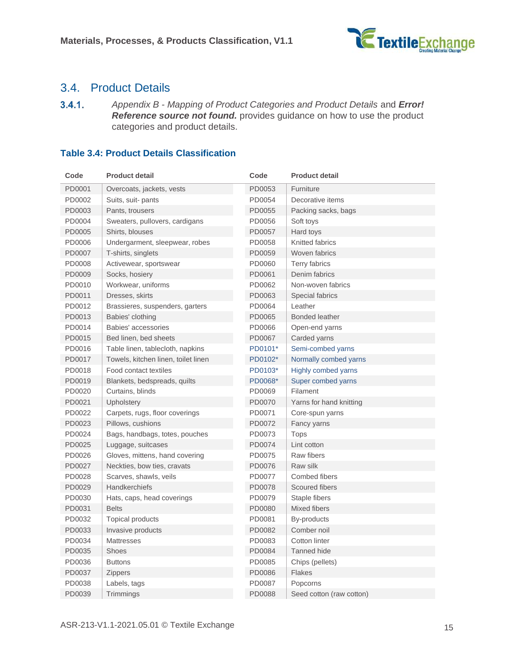

### <span id="page-14-0"></span>3.4. Product Details

 $3.4.1.$ *Appendix B - [Mapping of Product Categories and Product Details](#page-20-0)* and *Error! Reference source not found.* provides guidance on how to use the product categories and product details.

#### <span id="page-14-1"></span>**Table 3.4: Product Details Classification**

| Code   | <b>Product detail</b>               | Code    | <b>Product detail</b>      |
|--------|-------------------------------------|---------|----------------------------|
| PD0001 | Overcoats, jackets, vests           | PD0053  | Furniture                  |
| PD0002 | Suits, suit-pants                   | PD0054  | Decorative items           |
| PD0003 | Pants, trousers                     | PD0055  | Packing sacks, bags        |
| PD0004 | Sweaters, pullovers, cardigans      | PD0056  | Soft toys                  |
| PD0005 | Shirts, blouses                     | PD0057  | Hard toys                  |
| PD0006 | Undergarment, sleepwear, robes      | PD0058  | Knitted fabrics            |
| PD0007 | T-shirts, singlets                  | PD0059  | Woven fabrics              |
| PD0008 | Activewear, sportswear              | PD0060  | <b>Terry fabrics</b>       |
| PD0009 | Socks, hosiery                      | PD0061  | Denim fabrics              |
| PD0010 | Workwear, uniforms                  | PD0062  | Non-woven fabrics          |
| PD0011 | Dresses, skirts                     | PD0063  | Special fabrics            |
| PD0012 | Brassieres, suspenders, garters     | PD0064  | Leather                    |
| PD0013 | Babies' clothing                    | PD0065  | <b>Bonded leather</b>      |
| PD0014 | Babies' accessories                 | PD0066  | Open-end yarns             |
| PD0015 | Bed linen, bed sheets               | PD0067  | Carded yarns               |
| PD0016 | Table linen, tablecloth, napkins    | PD0101* | Semi-combed yarns          |
| PD0017 | Towels, kitchen linen, toilet linen | PD0102* | Normally combed yarns      |
| PD0018 | Food contact textiles               | PD0103* | <b>Highly combed yarns</b> |
| PD0019 | Blankets, bedspreads, quilts        | PD0068* | Super combed yarns         |
| PD0020 | Curtains, blinds                    | PD0069  | Filament                   |
| PD0021 | Upholstery                          | PD0070  | Yarns for hand knitting    |
| PD0022 | Carpets, rugs, floor coverings      | PD0071  | Core-spun yarns            |
| PD0023 | Pillows, cushions                   | PD0072  | Fancy yarns                |
| PD0024 | Bags, handbags, totes, pouches      | PD0073  | Tops                       |
| PD0025 | Luggage, suitcases                  | PD0074  | Lint cotton                |
| PD0026 | Gloves, mittens, hand covering      | PD0075  | Raw fibers                 |
| PD0027 | Neckties, bow ties, cravats         | PD0076  | Raw silk                   |
| PD0028 | Scarves, shawls, veils              | PD0077  | Combed fibers              |
| PD0029 | <b>Handkerchiefs</b>                | PD0078  | Scoured fibers             |
| PD0030 | Hats, caps, head coverings          | PD0079  | Staple fibers              |
| PD0031 | <b>Belts</b>                        | PD0080  | Mixed fibers               |
| PD0032 | <b>Topical products</b>             | PD0081  | By-products                |
| PD0033 | Invasive products                   | PD0082  | Comber noil                |
| PD0034 | <b>Mattresses</b>                   | PD0083  | Cotton linter              |
| PD0035 | Shoes                               | PD0084  | <b>Tanned hide</b>         |
| PD0036 | <b>Buttons</b>                      | PD0085  | Chips (pellets)            |
| PD0037 | <b>Zippers</b>                      | PD0086  | Flakes                     |
| PD0038 | Labels, tags                        | PD0087  | Popcorns                   |
| PD0039 | Trimmings                           | PD0088  | Seed cotton (raw cotton)   |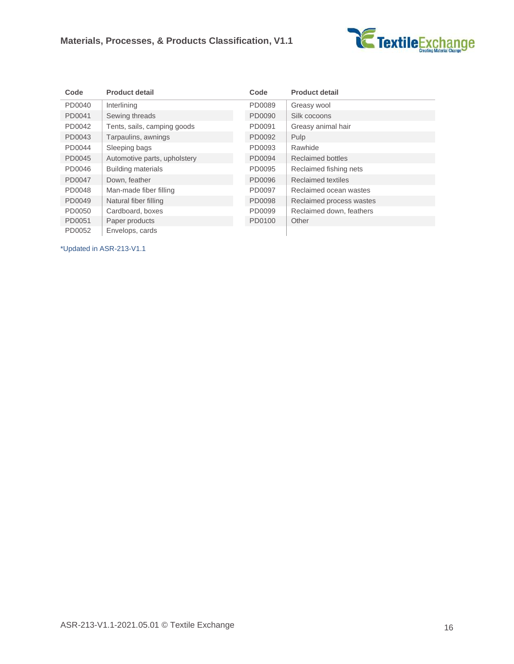

| Code   | <b>Product detail</b>        | Code   | <b>Product detail</b>    |
|--------|------------------------------|--------|--------------------------|
| PD0040 | Interlining                  | PD0089 | Greasy wool              |
| PD0041 | Sewing threads               | PD0090 | Silk cocoons             |
| PD0042 | Tents, sails, camping goods  | PD0091 | Greasy animal hair       |
| PD0043 | Tarpaulins, awnings          | PD0092 | Pulp                     |
| PD0044 | Sleeping bags                | PD0093 | Rawhide                  |
| PD0045 | Automotive parts, upholstery | PD0094 | <b>Reclaimed bottles</b> |
| PD0046 | <b>Building materials</b>    | PD0095 | Reclaimed fishing nets   |
| PD0047 | Down, feather                | PD0096 | Reclaimed textiles       |
| PD0048 | Man-made fiber filling       | PD0097 | Reclaimed ocean wastes   |
| PD0049 | Natural fiber filling        | PD0098 | Reclaimed process wastes |
| PD0050 | Cardboard, boxes             | PD0099 | Reclaimed down, feathers |
| PD0051 | Paper products               | PD0100 | Other                    |
| PD0052 | Envelops, cards              |        |                          |

\*Updated in ASR-213-V1.1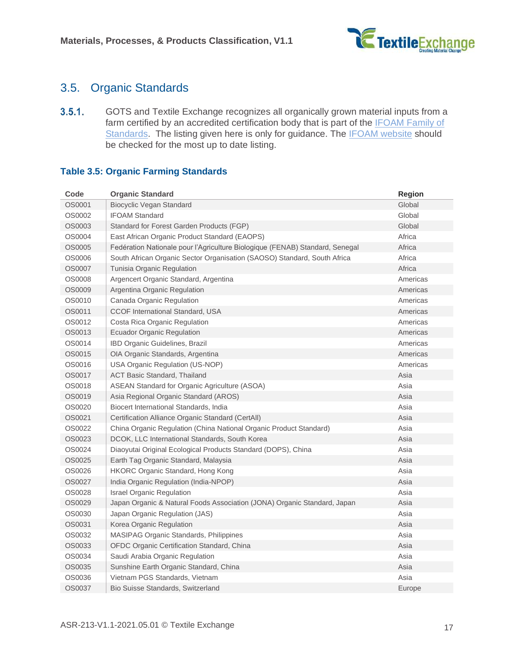

### <span id="page-16-0"></span>3.5. Organic Standards

 $3.5.1.$ GOTS and Textile Exchange recognizes all organically grown material inputs from a farm certified by an accredited certification body that is part of the **IFOAM Family of** [Standards.](https://www.ifoam.bio/sites/default/files/2020-05/familyframe_web_0.pdf) The listing given here is only for guidance. The [IFOAM website](https://www.ifoam.bio/sites/default/files/2020-05/familyframe_web_0.pdf) should be checked for the most up to date listing.

#### <span id="page-16-1"></span>**Table 3.5: Organic Farming Standards**

| Code          | <b>Organic Standard</b>                                                      | <b>Region</b> |
|---------------|------------------------------------------------------------------------------|---------------|
| OS0001        | Biocyclic Vegan Standard                                                     | Global        |
| OS0002        | <b>IFOAM Standard</b>                                                        | Global        |
| OS0003        | Standard for Forest Garden Products (FGP)                                    | Global        |
| OS0004        | East African Organic Product Standard (EAOPS)                                | Africa        |
| OS0005        | Fedération Nationale pour l'Agriculture Biologique (FENAB) Standard, Senegal | Africa        |
| OS0006        | South African Organic Sector Organisation (SAOSO) Standard, South Africa     | Africa        |
| <b>OS0007</b> | Tunisia Organic Regulation                                                   | Africa        |
| <b>OS0008</b> | Argencert Organic Standard, Argentina                                        | Americas      |
| OS0009        | Argentina Organic Regulation                                                 | Americas      |
| OS0010        | Canada Organic Regulation                                                    | Americas      |
| OS0011        | CCOF International Standard, USA                                             | Americas      |
| OS0012        | Costa Rica Organic Regulation                                                | Americas      |
| OS0013        | <b>Ecuador Organic Regulation</b>                                            | Americas      |
| OS0014        | IBD Organic Guidelines, Brazil                                               | Americas      |
| OS0015        | OIA Organic Standards, Argentina                                             | Americas      |
| OS0016        | USA Organic Regulation (US-NOP)                                              | Americas      |
| OS0017        | <b>ACT Basic Standard, Thailand</b>                                          | Asia          |
| OS0018        | ASEAN Standard for Organic Agriculture (ASOA)                                | Asia          |
| OS0019        | Asia Regional Organic Standard (AROS)                                        | Asia          |
| OS0020        | Biocert International Standards, India                                       | Asia          |
| OS0021        | Certification Alliance Organic Standard (CertAll)                            | Asia          |
| OS0022        | China Organic Regulation (China National Organic Product Standard)           | Asia          |
| OS0023        | DCOK, LLC International Standards, South Korea                               | Asia          |
| OS0024        | Diaoyutai Original Ecological Products Standard (DOPS), China                | Asia          |
| OS0025        | Earth Tag Organic Standard, Malaysia                                         | Asia          |
| OS0026        | HKORC Organic Standard, Hong Kong                                            | Asia          |
| OS0027        | India Organic Regulation (India-NPOP)                                        | Asia          |
| OS0028        | <b>Israel Organic Regulation</b>                                             | Asia          |
| OS0029        | Japan Organic & Natural Foods Association (JONA) Organic Standard, Japan     | Asia          |
| OS0030        | Japan Organic Regulation (JAS)                                               | Asia          |
| OS0031        | Korea Organic Regulation                                                     | Asia          |
| OS0032        | <b>MASIPAG Organic Standards, Philippines</b>                                | Asia          |
| OS0033        | OFDC Organic Certification Standard, China                                   | Asia          |
| OS0034        | Saudi Arabia Organic Regulation                                              | Asia          |
| OS0035        | Sunshine Earth Organic Standard, China                                       | Asia          |
| OS0036        | Vietnam PGS Standards, Vietnam                                               | Asia          |
| OS0037        | <b>Bio Suisse Standards, Switzerland</b>                                     | Europe        |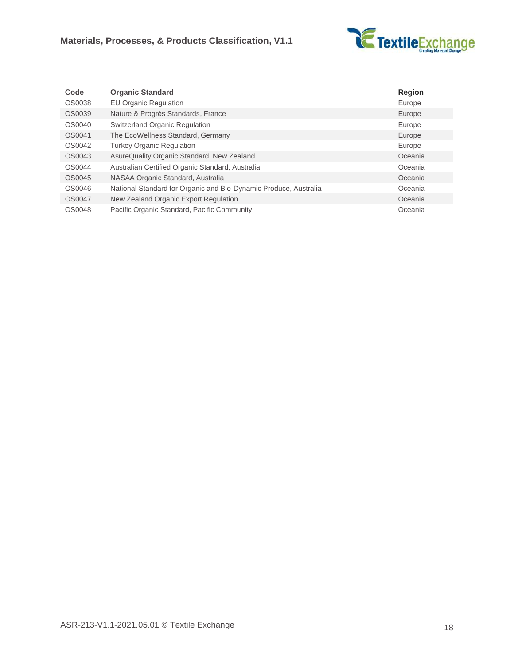

| Code   | <b>Organic Standard</b>                                          | <b>Region</b> |
|--------|------------------------------------------------------------------|---------------|
| OS0038 | EU Organic Regulation                                            | Europe        |
| OS0039 | Nature & Progrès Standards, France                               | Europe        |
| OS0040 | <b>Switzerland Organic Regulation</b>                            | Europe        |
| OS0041 | The EcoWellness Standard, Germany                                | Europe        |
| OS0042 | <b>Turkey Organic Regulation</b>                                 | Europe        |
| OS0043 | AsureQuality Organic Standard, New Zealand                       | Oceania       |
| OS0044 | Australian Certified Organic Standard, Australia                 | Oceania       |
| OS0045 | NASAA Organic Standard, Australia                                | Oceania       |
| OS0046 | National Standard for Organic and Bio-Dynamic Produce, Australia | Oceania       |
| OS0047 | New Zealand Organic Export Regulation                            | Oceania       |
| OS0048 | Pacific Organic Standard, Pacific Community                      | Oceania       |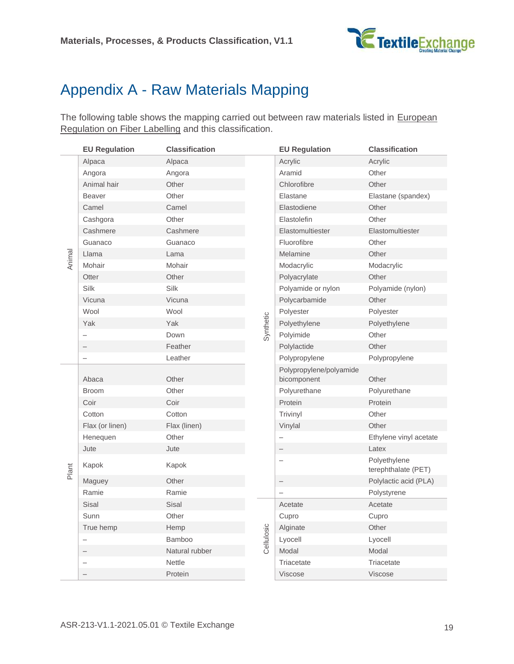

## <span id="page-18-0"></span>Appendix A - Raw Materials Mapping

The following table shows the mapping carried out between raw materials listed in European [Regulation on Fiber Labelling](https://eur-lex.europa.eu/legal-content/EN/TXT/PDF/?uri=CELEX:02011R1007-20180215&from=EN) and this classification.

|        | <b>EU Regulation</b>     | <b>Classification</b> |            | <b>EU Regulation</b>                   | <b>Classification</b>               |
|--------|--------------------------|-----------------------|------------|----------------------------------------|-------------------------------------|
|        | Alpaca                   | Alpaca                |            | Acrylic                                | Acrylic                             |
|        | Angora                   | Angora                |            | Aramid                                 | Other                               |
|        | Animal hair              | Other                 |            | Chlorofibre                            | Other                               |
|        | <b>Beaver</b>            | Other                 |            | Elastane                               | Elastane (spandex)                  |
|        | Camel                    | Camel                 |            | Elastodiene                            | Other                               |
|        | Cashgora                 | Other                 |            | Elastolefin                            | Other                               |
|        | Cashmere                 | Cashmere              |            | Elastomultiester                       | Elastomultiester                    |
|        | Guanaco                  | Guanaco               |            | Fluorofibre                            | Other                               |
| Animal | Llama                    | Lama                  |            | Melamine                               | Other                               |
|        | Mohair                   | Mohair                |            | Modacrylic                             | Modacrylic                          |
|        | Otter                    | Other                 |            | Polyacrylate                           | Other                               |
|        | Silk                     | Silk                  |            | Polyamide or nylon                     | Polyamide (nylon)                   |
|        | Vicuna                   | Vicuna                |            | Polycarbamide                          | Other                               |
|        | Wool                     | Wool                  |            | Polyester                              | Polyester                           |
|        | Yak                      | Yak                   | Synthetic  | Polyethylene                           | Polyethylene                        |
|        | $\overline{\phantom{0}}$ | Down                  |            | Polyimide                              | Other                               |
|        |                          | Feather               |            | Polylactide                            | Other                               |
|        | -                        | Leather               |            | Polypropylene                          | Polypropylene                       |
|        | Abaca                    | Other                 |            | Polypropylene/polyamide<br>bicomponent | Other                               |
|        | <b>Broom</b>             | Other                 |            | Polyurethane                           | Polyurethane                        |
|        | Coir                     | Coir                  |            | Protein                                | Protein                             |
|        | Cotton                   | Cotton                |            | Trivinyl                               | Other                               |
|        | Flax (or linen)          | Flax (linen)          |            | Vinylal                                | Other                               |
|        | Henequen                 | Other                 |            | $\qquad \qquad -$                      | Ethylene vinyl acetate              |
|        | Jute                     | Jute                  |            | $\overline{\phantom{0}}$               | Latex                               |
| Plant  | Kapok                    | Kapok                 |            | $\overline{\phantom{m}}$               | Polyethylene<br>terephthalate (PET) |
|        | Maguey                   | Other                 |            | $\overline{\phantom{0}}$               | Polylactic acid (PLA)               |
|        | Ramie                    | Ramie                 |            | $\overline{\phantom{0}}$               | Polystyrene                         |
|        | Sisal                    | Sisal                 |            | Acetate                                | Acetate                             |
|        | Sunn                     | Other                 |            | Cupro                                  | Cupro                               |
|        | True hemp                | Hemp                  |            | Alginate                               | Other                               |
|        | $\overline{\phantom{0}}$ | Bamboo                | Cellulosic | Lyocell                                | Lyocell                             |
|        |                          | Natural rubber        |            | Modal                                  | Modal                               |
|        | $\overline{\phantom{a}}$ | <b>Nettle</b>         |            | Triacetate                             | Triacetate                          |
|        |                          | Protein               |            | Viscose                                | Viscose                             |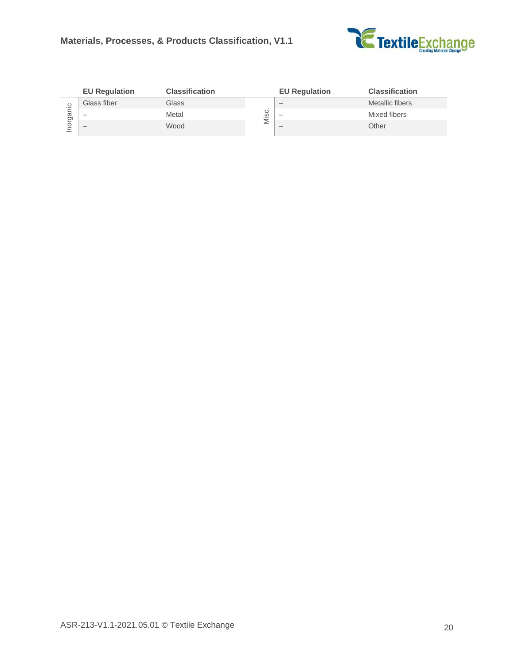

|         | <b>EU Regulation</b>     | <b>Classification</b> |                | <b>EU Regulation</b>     | <b>Classification</b> |
|---------|--------------------------|-----------------------|----------------|--------------------------|-----------------------|
|         | Glass fiber              | Glass                 |                | $\overline{\phantom{a}}$ | Metallic fibers       |
| ಹ<br>তা | $\overline{\phantom{a}}$ | Metal                 | ပ<br>ِ ۞.<br>- | $\overline{\phantom{a}}$ | Mixed fibers          |
| ◡       | $\overline{\phantom{a}}$ | Wood                  | ⋍              | $\overline{\phantom{a}}$ | Other                 |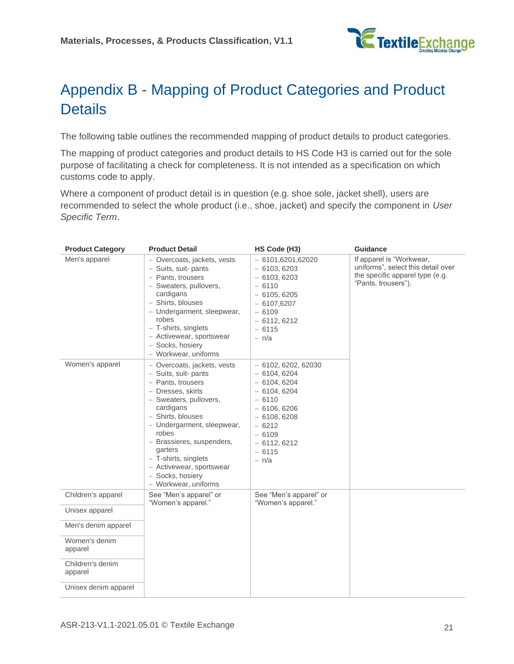

## <span id="page-20-0"></span>Appendix B - Mapping of Product Categories and Product **Details**

The following table outlines the recommended mapping of product details to product categories.

The mapping of product categories and product details to HS Code H3 is carried out for the sole purpose of facilitating a check for completeness. It is not intended as a specification on which customs code to apply.

Where a component of product detail is in question (e.g. shoe sole, jacket shell), users are recommended to select the whole product (i.e., shoe, jacket) and specify the component in *[User](#page-6-0)  [Specific Term](#page-6-0)*.

| <b>Product Category</b>     | <b>Product Detail</b>                                                                                                                                                                                                                                                                                                                     | HS Code (H3)                                                                                                                                                                | <b>Guidance</b>                                                                                                          |
|-----------------------------|-------------------------------------------------------------------------------------------------------------------------------------------------------------------------------------------------------------------------------------------------------------------------------------------------------------------------------------------|-----------------------------------------------------------------------------------------------------------------------------------------------------------------------------|--------------------------------------------------------------------------------------------------------------------------|
| Men's apparel               | - Overcoats, jackets, vests<br>- Suits, suit-pants<br>- Pants, trousers<br>- Sweaters, pullovers,<br>cardigans<br>- Shirts, blouses<br>- Undergarment, sleepwear,<br>robes<br>- T-shirts, singlets<br>- Activewear, sportswear<br>- Socks, hosiery<br>- Workwear, uniforms                                                                | $-6101,6201,62020$<br>$-6103,6203$<br>$-6103,6203$<br>$-6110$<br>$-6105,6205$<br>$-6107,6207$<br>$-6109$<br>$-6112,6212$<br>$-6115$<br>$- n/a$                              | If apparel is "Workwear,<br>uniforms", select this detail over<br>the specific apparel type (e.g.<br>"Pants, trousers"). |
| Women's apparel             | - Overcoats, jackets, vests<br>- Suits, suit-pants<br>- Pants, trousers<br>- Dresses, skirts<br>- Sweaters, pullovers,<br>cardigans<br>- Shirts, blouses<br>- Undergarment, sleepwear,<br>robes<br>- Brassieres, suspenders,<br>garters<br>$-$ T-shirts, singlets<br>- Activewear, sportswear<br>- Socks, hosiery<br>- Workwear, uniforms | $-6102, 6202, 62030$<br>$-6104,6204$<br>$-6104,6204$<br>$-6104,6204$<br>$-6110$<br>$-6106,6206$<br>$-6108,6208$<br>$-6212$<br>$-6109$<br>$-6112,6212$<br>$-6115$<br>$- n/a$ |                                                                                                                          |
| Children's apparel          | See "Men's apparel" or<br>"Women's apparel."                                                                                                                                                                                                                                                                                              | See "Men's apparel" or<br>"Women's apparel."                                                                                                                                |                                                                                                                          |
| Unisex apparel              |                                                                                                                                                                                                                                                                                                                                           |                                                                                                                                                                             |                                                                                                                          |
| Men's denim apparel         |                                                                                                                                                                                                                                                                                                                                           |                                                                                                                                                                             |                                                                                                                          |
| Women's denim<br>apparel    |                                                                                                                                                                                                                                                                                                                                           |                                                                                                                                                                             |                                                                                                                          |
| Children's denim<br>apparel |                                                                                                                                                                                                                                                                                                                                           |                                                                                                                                                                             |                                                                                                                          |
| Unisex denim apparel        |                                                                                                                                                                                                                                                                                                                                           |                                                                                                                                                                             |                                                                                                                          |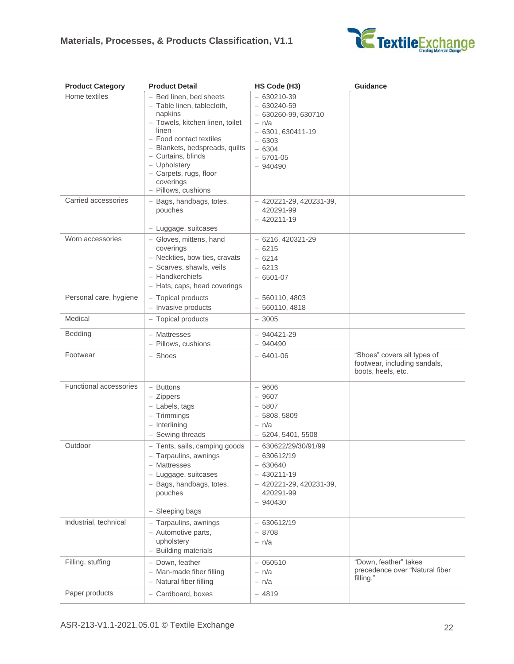

| <b>Product Category</b>       | <b>Product Detail</b>                                                                                                                                                                                                                                                         | HS Code (H3)                                                                                                                             | <b>Guidance</b>                                                                   |
|-------------------------------|-------------------------------------------------------------------------------------------------------------------------------------------------------------------------------------------------------------------------------------------------------------------------------|------------------------------------------------------------------------------------------------------------------------------------------|-----------------------------------------------------------------------------------|
| Home textiles                 | - Bed linen, bed sheets<br>- Table linen, tablecloth,<br>napkins<br>- Towels, kitchen linen, toilet<br>linen<br>- Food contact textiles<br>- Blankets, bedspreads, quilts<br>- Curtains, blinds<br>- Upholstery<br>- Carpets, rugs, floor<br>coverings<br>- Pillows, cushions | $-630210 - 39$<br>$-630240 - 59$<br>$-630260-99,630710$<br>$- n/a$<br>$-6301,630411-19$<br>$-6303$<br>$-6304$<br>$-5701-05$<br>$-940490$ |                                                                                   |
| Carried accessories           | - Bags, handbags, totes,<br>pouches<br>- Luggage, suitcases                                                                                                                                                                                                                   | $-420221-29, 420231-39,$<br>420291-99<br>$-420211-19$                                                                                    |                                                                                   |
| Worn accessories              | - Gloves, mittens, hand<br>coverings<br>- Neckties, bow ties, cravats<br>- Scarves, shawls, veils<br>- Handkerchiefs<br>- Hats, caps, head coverings                                                                                                                          | $-6216, 420321-29$<br>$-6215$<br>$-6214$<br>$-6213$<br>$-6501-07$                                                                        |                                                                                   |
| Personal care, hygiene        | - Topical products<br>$-$ Invasive products                                                                                                                                                                                                                                   | $-560110,4803$<br>$-560110,4818$                                                                                                         |                                                                                   |
| Medical                       | - Topical products                                                                                                                                                                                                                                                            | $-3005$                                                                                                                                  |                                                                                   |
| <b>Bedding</b>                | - Mattresses<br>- Pillows, cushions                                                                                                                                                                                                                                           | $-940421 - 29$<br>$-940490$                                                                                                              |                                                                                   |
| Footwear                      | - Shoes                                                                                                                                                                                                                                                                       | $-6401-06$                                                                                                                               | "Shoes" covers all types of<br>footwear, including sandals,<br>boots, heels, etc. |
| <b>Functional accessories</b> | - Buttons<br>$-$ Zippers<br>- Labels, tags<br>$-$ Trimmings<br>$-$ Interlining<br>- Sewing threads                                                                                                                                                                            | $-9606$<br>$-9607$<br>$-5807$<br>$-5808,5809$<br>$- n/a$<br>$-5204, 5401, 5508$                                                          |                                                                                   |
| Outdoor                       | - Tents, sails, camping goods<br>Tarpaulins, awnings<br>- Mattresses<br>- Luggage, suitcases<br>- Bags, handbags, totes,<br>pouches<br>- Sleeping bags                                                                                                                        | $-630622/29/30/91/99$<br>$-630612/19$<br>$-630640$<br>$-430211-19$<br>$-420221-29, 420231-39,$<br>420291-99<br>$-940430$                 |                                                                                   |
| Industrial, technical         | - Tarpaulins, awnings<br>- Automotive parts,<br>upholstery<br>- Building materials                                                                                                                                                                                            | $-630612/19$<br>$-8708$<br>$- n/a$                                                                                                       |                                                                                   |
| Filling, stuffing             | - Down, feather<br>- Man-made fiber filling<br>- Natural fiber filling                                                                                                                                                                                                        | $-050510$<br>- n/a<br>- n/a                                                                                                              | "Down, feather" takes<br>precedence over "Natural fiber<br>filling."              |
| Paper products                | - Cardboard, boxes                                                                                                                                                                                                                                                            | $-4819$                                                                                                                                  |                                                                                   |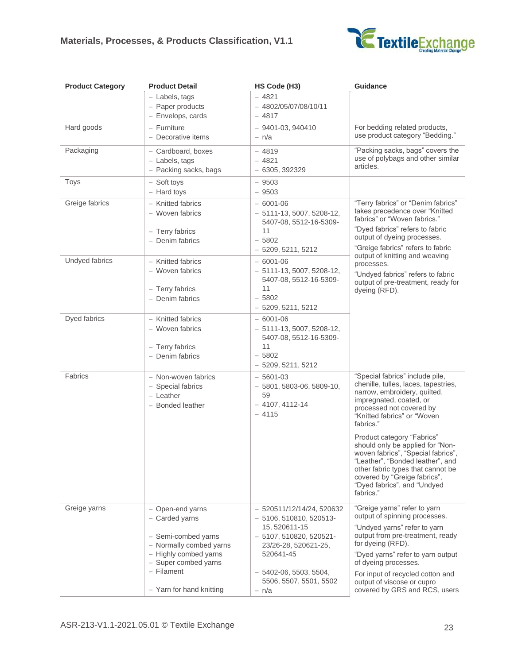

| <b>Product Category</b> | <b>Product Detail</b>                                                                                                                                                             | HS Code (H3)                                                                                                                                                                                         | <b>Guidance</b>                                                                                                                                                                                                                                                                                                                                                                                                                                                        |
|-------------------------|-----------------------------------------------------------------------------------------------------------------------------------------------------------------------------------|------------------------------------------------------------------------------------------------------------------------------------------------------------------------------------------------------|------------------------------------------------------------------------------------------------------------------------------------------------------------------------------------------------------------------------------------------------------------------------------------------------------------------------------------------------------------------------------------------------------------------------------------------------------------------------|
|                         | - Labels, tags<br>- Paper products<br>- Envelops, cards                                                                                                                           | $-4821$<br>- 4802/05/07/08/10/11<br>$-4817$                                                                                                                                                          |                                                                                                                                                                                                                                                                                                                                                                                                                                                                        |
| Hard goods              | - Furniture<br>- Decorative items                                                                                                                                                 | $-9401-03,940410$<br>- n/a                                                                                                                                                                           | For bedding related products,<br>use product category "Bedding."                                                                                                                                                                                                                                                                                                                                                                                                       |
| Packaging               | - Cardboard, boxes<br>- Labels, tags<br>- Packing sacks, bags                                                                                                                     | $-4819$<br>$-4821$<br>$-6305, 392329$                                                                                                                                                                | "Packing sacks, bags" covers the<br>use of polybags and other similar<br>articles.                                                                                                                                                                                                                                                                                                                                                                                     |
| Toys                    | - Soft toys<br>- Hard toys                                                                                                                                                        | $-9503$<br>$-9503$                                                                                                                                                                                   |                                                                                                                                                                                                                                                                                                                                                                                                                                                                        |
| Greige fabrics          | - Knitted fabrics<br>- Woven fabrics<br>- Terry fabrics<br>- Denim fabrics                                                                                                        | $-6001 - 06$<br>$-5111-13,5007,5208-12,$<br>5407-08, 5512-16-5309-<br>11<br>$-5802$                                                                                                                  | "Terry fabrics" or "Denim fabrics"<br>takes precedence over "Knitted<br>fabrics" or "Woven fabrics."<br>"Dyed fabrics" refers to fabric<br>output of dyeing processes.<br>"Greige fabrics" refers to fabric                                                                                                                                                                                                                                                            |
| Undyed fabrics          | - Knitted fabrics<br>- Woven fabrics<br>- Terry fabrics<br>- Denim fabrics                                                                                                        | $-5209, 5211, 5212$<br>$-6001 - 06$<br>$-5111-13,5007,5208-12,$<br>5407-08, 5512-16-5309-<br>11<br>$-5802$<br>$-5209, 5211, 5212$                                                                    | output of knitting and weaving<br>processes.<br>"Undyed fabrics" refers to fabric<br>output of pre-treatment, ready for<br>dyeing (RFD).                                                                                                                                                                                                                                                                                                                               |
| Dyed fabrics            | - Knitted fabrics<br>- Woven fabrics<br>- Terry fabrics<br>- Denim fabrics                                                                                                        | $-6001 - 06$<br>$-5111-13,5007,5208-12,$<br>5407-08, 5512-16-5309-<br>11<br>$-5802$<br>$-5209, 5211, 5212$                                                                                           |                                                                                                                                                                                                                                                                                                                                                                                                                                                                        |
| Fabrics                 | - Non-woven fabrics<br>- Special fabrics<br>$-$ Leather<br>- Bonded leather                                                                                                       | $-5601-03$<br>$-5801, 5803-06, 5809-10,$<br>59<br>$-4107, 4112-14$<br>$-4115$                                                                                                                        | "Special fabrics" include pile,<br>chenille, tulles, laces, tapestries,<br>narrow, embroidery, quilted,<br>impregnated, coated, or<br>processed not covered by<br>"Knitted fabrics" or "Woven<br>fabrics."<br>Product category "Fabrics"<br>should only be applied for "Non-<br>woven fabrics", "Special fabrics"<br>"Leather", "Bonded leather", and<br>other fabric types that cannot be<br>covered by "Greige fabrics",<br>"Dyed fabrics", and "Undyed<br>fabrics." |
| Greige yarns            | - Open-end yarns<br>- Carded yarns<br>- Semi-combed yarns<br>- Normally combed yarns<br>- Highly combed yarns<br>- Super combed yarns<br>$-$ Filament<br>- Yarn for hand knitting | $-520511/12/14/24, 520632$<br>$-5106, 510810, 520513$<br>15, 520611-15<br>$-5107, 510820, 520521$<br>23/26-28, 520621-25,<br>520641-45<br>$-5402-06, 5503, 5504,$<br>5506, 5507, 5501, 5502<br>- n/a | "Greige yarns" refer to yarn<br>output of spinning processes.<br>"Undyed yarns" refer to yarn<br>output from pre-treatment, ready<br>for dyeing (RFD).<br>"Dyed yarns" refer to yarn output<br>of dyeing processes.<br>For input of recycled cotton and<br>output of viscose or cupro<br>covered by GRS and RCS, users                                                                                                                                                 |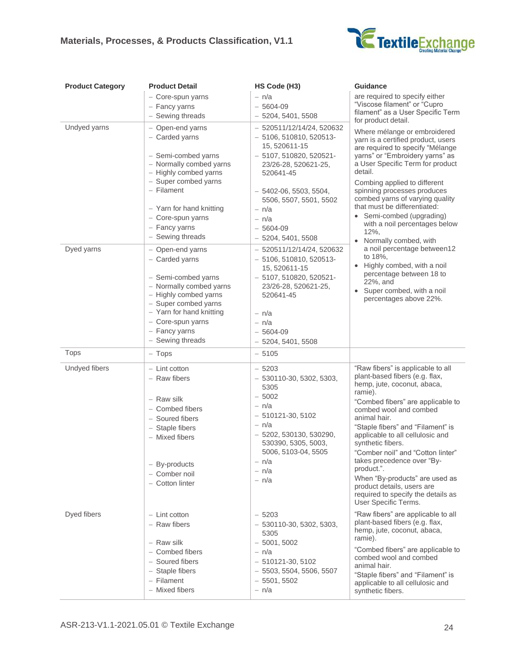#### **Materials, Processes, & Products Classification, V1.1**



| <b>Product Category</b> | <b>Product Detail</b>                                                                                                                                                                                                                     | HS Code (H3)                                                                                                                                                                                                                                         | <b>Guidance</b>                                                                                                                                                                                                                                                                                                                                                                                                                                                                                           |
|-------------------------|-------------------------------------------------------------------------------------------------------------------------------------------------------------------------------------------------------------------------------------------|------------------------------------------------------------------------------------------------------------------------------------------------------------------------------------------------------------------------------------------------------|-----------------------------------------------------------------------------------------------------------------------------------------------------------------------------------------------------------------------------------------------------------------------------------------------------------------------------------------------------------------------------------------------------------------------------------------------------------------------------------------------------------|
|                         | - Core-spun yarns<br>- Fancy yarns<br>- Sewing threads                                                                                                                                                                                    | $- n/a$<br>$-5604-09$<br>$-5204, 5401, 5508$                                                                                                                                                                                                         | are required to specify either<br>"Viscose filament" or "Cupro<br>filament" as a User Specific Term<br>for product detail.                                                                                                                                                                                                                                                                                                                                                                                |
| Undyed yarns            | - Open-end yarns<br>- Carded yarns<br>- Semi-combed yarns<br>- Normally combed yarns<br>- Highly combed yarns<br>- Super combed yarns<br>- Filament<br>- Yarn for hand knitting<br>- Core-spun yarns<br>- Fancy yarns<br>- Sewing threads | $-520511/12/14/24, 520632$<br>$-5106, 510810, 520513$<br>15, 520611-15<br>$-5107, 510820, 520521$<br>23/26-28, 520621-25,<br>520641-45<br>$-5402-06, 5503, 5504,$<br>5506, 5507, 5501, 5502<br>- n/a<br>$- n/a$<br>$-5604-09$<br>$-5204, 5401, 5508$ | Where mélange or embroidered<br>yarn is a certified product, users<br>are required to specify "Mélange<br>yarns" or "Embroidery yarns" as<br>a User Specific Term for product<br>detail.<br>Combing applied to different<br>spinning processes produces<br>combed yarns of varying quality<br>that must be differentiated:<br>• Semi-combed (upgrading)<br>with a noil percentages below<br>$12\%$ ,<br>Normally combed, with                                                                             |
| Dyed yarns              | - Open-end yarns<br>- Carded yarns<br>- Semi-combed yarns<br>- Normally combed yarns<br>- Highly combed yarns<br>- Super combed yarns<br>- Yarn for hand knitting<br>- Core-spun yarns<br>- Fancy yarns<br>- Sewing threads               | $-520511/12/14/24, 520632$<br>$-5106, 510810, 520513$<br>15, 520611-15<br>$-5107, 510820, 520521$ -<br>23/26-28, 520621-25,<br>520641-45<br>- n/a<br>- n/a<br>$-5604-09$<br>$-5204, 5401, 5508$                                                      | a noil percentage between12<br>to 18%,<br>• Highly combed, with a noil<br>percentage between 18 to<br>22%, and<br>Super combed, with a noil<br>percentages above 22%.                                                                                                                                                                                                                                                                                                                                     |
| <b>Tops</b>             | $-$ Tops                                                                                                                                                                                                                                  | $-5105$                                                                                                                                                                                                                                              |                                                                                                                                                                                                                                                                                                                                                                                                                                                                                                           |
| Undyed fibers           | $-$ Lint cotton<br>- Raw fibers<br>- Raw silk<br>- Combed fibers<br>- Soured fibers<br>- Staple fibers<br>- Mixed fibers<br>- By-products<br>- Comber noil<br>- Cotton linter                                                             | $-5203$<br>$-530110-30, 5302, 5303,$<br>5305<br>$-5002$<br>- n/a<br>$-510121 - 30, 5102$<br>- n/a<br>$-5202, 530130, 530290,$<br>530390, 5305, 5003,<br>5006, 5103-04, 5505<br>- n/a<br>- n/a<br>- n/a                                               | "Raw fibers" is applicable to all<br>plant-based fibers (e.g. flax,<br>hemp, jute, coconut, abaca,<br>ramie).<br>"Combed fibers" are applicable to<br>combed wool and combed<br>animal hair.<br>"Staple fibers" and "Filament" is<br>applicable to all cellulosic and<br>synthetic fibers.<br>"Comber noil" and "Cotton linter"<br>takes precedence over "By-<br>product.".<br>When "By-products" are used as<br>product details, users are<br>required to specify the details as<br>User Specific Terms. |
| Dyed fibers             | $-$ Lint cotton<br>- Raw fibers<br>- Raw silk<br>- Combed fibers<br>- Soured fibers<br>- Staple fibers<br>- Filament<br>- Mixed fibers                                                                                                    | $-5203$<br>$-530110-30, 5302, 5303,$<br>5305<br>$-5001,5002$<br>$- n/a$<br>$-510121 - 30, 5102$<br>$-5503, 5504, 5506, 5507$<br>$-5501,5502$<br>- n/a                                                                                                | "Raw fibers" are applicable to all<br>plant-based fibers (e.g. flax,<br>hemp, jute, coconut, abaca,<br>ramie).<br>"Combed fibers" are applicable to<br>combed wool and combed<br>animal hair.<br>"Staple fibers" and "Filament" is<br>applicable to all cellulosic and<br>synthetic fibers.                                                                                                                                                                                                               |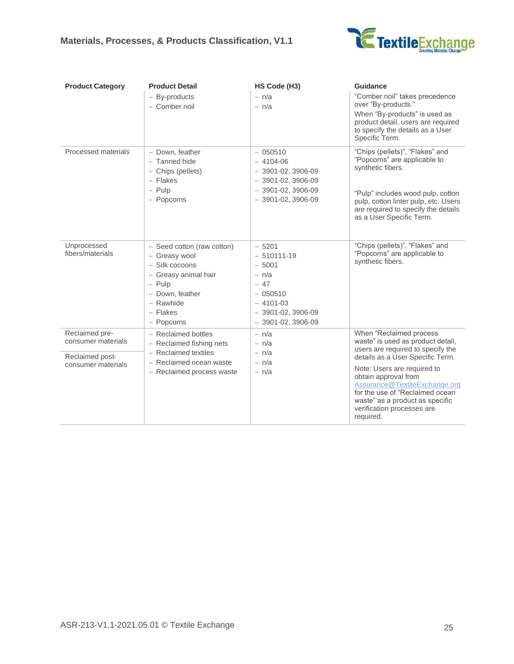

| <b>Product Category</b>               | <b>Product Detail</b>                                                                                                                                       | HS Code (H3)                                                                                                                    | <b>Guidance</b>                                                                                                                                                                                                                           |
|---------------------------------------|-------------------------------------------------------------------------------------------------------------------------------------------------------------|---------------------------------------------------------------------------------------------------------------------------------|-------------------------------------------------------------------------------------------------------------------------------------------------------------------------------------------------------------------------------------------|
|                                       | - By-products<br>- Comber noil                                                                                                                              | $- n/a$<br>$- n/a$                                                                                                              | "Comber noil" takes precedence<br>over "By-products."<br>When "By-products" is used as<br>product detail, users are required<br>to specify the details as a User<br>Specific Term.                                                        |
| Processed materials                   | - Down, feather<br>- Tanned hide<br>- Chips (pellets)<br>- Flakes<br>$-$ Pulp<br>- Popcorns                                                                 | $-050510$<br>$-4104-06$<br>$-3901-02, 3906-09$<br>$-3901-02, 3906-09$<br>$-3901-02, 3906-09$<br>$-3901-02, 3906-09$             | "Chips (pellets)", "Flakes" and<br>"Popcorns" are applicable to<br>synthetic fibers.<br>"Pulp" includes wood pulp, cotton<br>pulp, cotton linter pulp, etc. Users<br>are required to specify the details<br>as a User Specific Term.      |
| Unprocessed<br>fibers/materials       | - Seed cotton (raw cotton)<br>- Greasy wool<br>- Silk cocoons<br>- Greasy animal hair<br>$-$ Pulp<br>- Down, feather<br>- Rawhide<br>- Flakes<br>- Popcorns | $-5201$<br>$-510111-19$<br>$-5001$<br>$- n/a$<br>$-47$<br>$-050510$<br>$-4101-03$<br>$-3901-02, 3906-09$<br>$-3901-02, 3906-09$ | "Chips (pellets)", "Flakes" and<br>"Popcorns" are applicable to<br>synthetic fibers.                                                                                                                                                      |
| Reclaimed pre-<br>consumer materials  | - Reclaimed bottles<br>- Reclaimed fishing nets                                                                                                             | $- n/a$<br>$- n/a$                                                                                                              | When "Reclaimed process<br>waste" is used as product detail,<br>users are required to specify the                                                                                                                                         |
| Reclaimed post-<br>consumer materials | - Reclaimed textiles<br>- Reclaimed ocean waste<br>- Reclaimed process waste                                                                                | $- n/a$<br>$- n/a$<br>$- n/a$                                                                                                   | details as a User Specific Term.<br>Note: Users are required to<br>obtain approval from<br>Assurance@TextileExchange.org<br>for the use of "Reclaimed ocean<br>waste" as a product as specific<br>verification processes are<br>required. |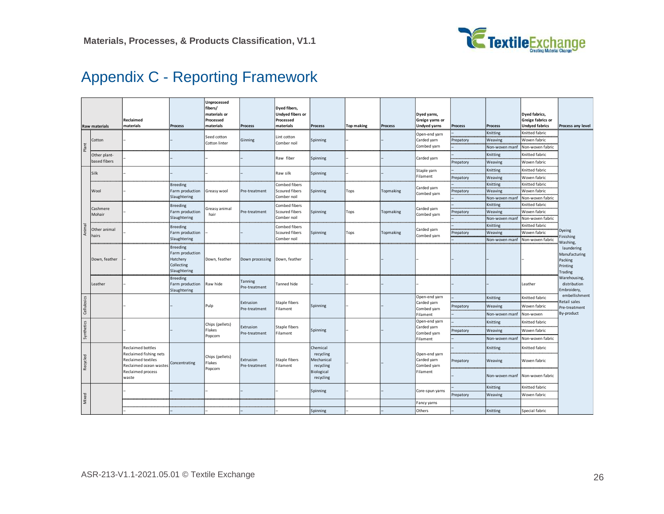

## Appendix C - Reporting Framework

<span id="page-25-0"></span>

|             | <b>Raw materials</b>  | Reclaimed<br>materials                                                        | <b>Process</b>                                                               | Unprocessed<br>fibers/<br>materials or<br>Processed<br>materials | <b>Process</b>             | Dyed fibers,<br>Undyed fibers or<br>Processed<br>materials | <b>Process</b>                       | <b>Top making</b> | <b>Process</b> | Dyed yarns,<br>Greige yarns or<br><b>Undyed yarns</b> | <b>Process</b> | <b>Process</b> | <b>Dyed fabrics,</b><br>Greige fabrics or<br><b>Undyed fabrics</b> | Process any level                                             |
|-------------|-----------------------|-------------------------------------------------------------------------------|------------------------------------------------------------------------------|------------------------------------------------------------------|----------------------------|------------------------------------------------------------|--------------------------------------|-------------------|----------------|-------------------------------------------------------|----------------|----------------|--------------------------------------------------------------------|---------------------------------------------------------------|
|             |                       |                                                                               |                                                                              |                                                                  |                            |                                                            |                                      |                   |                | Open-end yarn                                         |                | Knitting       | Knitted fabric                                                     |                                                               |
|             | Cotton                |                                                                               |                                                                              | Seed cotton<br>Cotton linter                                     | Ginning                    | Lint cotton<br>Comber noil                                 | Spinning                             |                   |                | Carded yarn                                           | Prepatory      | Weaving        | Woven fabric                                                       |                                                               |
| Plant       |                       |                                                                               |                                                                              |                                                                  |                            |                                                            |                                      |                   |                | Combed yarn                                           |                | Non-woven manf | Non-woven fabric                                                   |                                                               |
|             | Other plant-          |                                                                               |                                                                              |                                                                  |                            | Raw fiber                                                  | Spinning                             |                   |                | Carded yarn                                           |                | Knitting       | Knitted fabric                                                     |                                                               |
|             | based fibers          |                                                                               |                                                                              |                                                                  |                            |                                                            |                                      |                   |                |                                                       | Prepatory      | Weaving        | Woven fabric                                                       |                                                               |
|             | Silk                  |                                                                               |                                                                              |                                                                  |                            | Raw silk                                                   |                                      |                   |                | Staple yarn                                           |                | Knitting       | Knitted fabric                                                     |                                                               |
|             |                       |                                                                               |                                                                              |                                                                  |                            |                                                            | Spinning                             |                   |                | Filament                                              | Prepatory      | Weaving        | Woven fabric                                                       |                                                               |
|             |                       |                                                                               | <b>Breeding</b>                                                              |                                                                  |                            | Combed fibers                                              |                                      |                   |                |                                                       |                | Knitting       | Knitted fabric                                                     |                                                               |
|             | Wool                  |                                                                               | Farm production                                                              | Greasy wool                                                      | Pre-treatment              | Scoured fibers                                             | Spinning                             | Tops              | Topmaking      | Carded yarn<br>Combed yarn                            | Prepatory      | Weaving        | Woven fabric                                                       |                                                               |
|             |                       |                                                                               | Slaughtering                                                                 |                                                                  |                            | Comber noil                                                |                                      |                   |                |                                                       |                | Non-woven manf | Non-woven fabric                                                   |                                                               |
|             |                       |                                                                               | <b>Breeding</b>                                                              |                                                                  |                            | Combed fibers                                              |                                      |                   |                |                                                       |                | Knitting       | Knitted fabric                                                     |                                                               |
|             | Cashmere<br>Mohair    |                                                                               | Farm production                                                              | Greasy animal<br>hair                                            | Pre-treatment              | Scoured fibers                                             | Spinning                             | Tops              | Topmaking      | Carded yarn<br>Combed yarn                            | Prepatory      | Weaving        | Woven fabric                                                       |                                                               |
|             |                       |                                                                               | Slaughtering                                                                 |                                                                  |                            | Comber noil                                                |                                      |                   |                |                                                       |                | Non-woven manf | Non-woven fabric                                                   |                                                               |
|             |                       |                                                                               | <b>Breeding</b>                                                              |                                                                  |                            | Combed fibers                                              |                                      |                   |                |                                                       |                | Knitting       | Knitted fabric                                                     |                                                               |
| Animal      | Other animal<br>hairs |                                                                               | Farm production                                                              |                                                                  |                            | Scoured fibers                                             | Spinning                             | Tops              | Topmaking      | Carded yarn                                           | Prepatory      | Weaving        | Woven fabric                                                       | <b>Dyeing</b>                                                 |
|             |                       |                                                                               | Slaughtering                                                                 |                                                                  |                            | Comber noil                                                |                                      |                   |                | Combed yarn                                           |                | Non-woven manf | Non-woven fabric                                                   | Finishing<br>Washing,                                         |
|             | Down, feather         |                                                                               | <b>Breeding</b><br>Farm production<br>Hatchery<br>Collecting<br>Slaughtering | Down, feather                                                    | Down processing            | Down, feather                                              |                                      |                   |                |                                                       |                |                |                                                                    | laundering<br>Manufacturing<br>Packing<br>Printing<br>Trading |
|             | Leather               |                                                                               | <b>Breeding</b><br>Farm production<br>Slaughtering                           | Raw hide                                                         | Tanning<br>Pre-treatment   | Tanned hide                                                |                                      |                   |                |                                                       |                |                | Leather                                                            | Warehousing,<br>distribution<br>Embroidery,                   |
|             |                       |                                                                               |                                                                              |                                                                  |                            |                                                            |                                      |                   |                | Open-end yarn                                         |                | Knitting       | Knitted fabric                                                     | embellishment                                                 |
| Cellulosics |                       |                                                                               |                                                                              | Pulp                                                             | Extrusion<br>Pre-treatment | Staple fibers<br>Filament                                  | Spinning                             |                   |                | Carded yarn                                           | Prepatory      | Weaving        | Woven fabric                                                       | Retail sales<br>Pre-treatment                                 |
|             |                       |                                                                               |                                                                              |                                                                  |                            |                                                            |                                      |                   |                | Combed yarn<br>Filament                               |                | Non-woven manf | Non-woven                                                          | By-product                                                    |
| Synthetics  |                       |                                                                               |                                                                              | Chips (pellets)                                                  |                            |                                                            |                                      |                   |                | Open-end yarn                                         |                | Knitting       | Knitted fabric                                                     |                                                               |
|             |                       |                                                                               |                                                                              | Flakes                                                           | Extrusion                  | Staple fibers                                              | Spinning                             |                   |                | Carded yarn                                           | Prepatory      | Weaving        | Woven fabric                                                       |                                                               |
|             |                       |                                                                               |                                                                              | Popcorn                                                          | Pre-treatment              | Filament                                                   |                                      |                   |                | Combed yarn<br>Filament                               |                | Non-woven manf | Non-woven fabric                                                   |                                                               |
|             |                       | <b>Reclaimed bottles</b>                                                      |                                                                              |                                                                  |                            |                                                            | Chemical                             |                   |                |                                                       |                | Knitting       | Knitted fabric                                                     |                                                               |
| Recycled    |                       | Reclaimed fishing nets<br><b>Reclaimed textiles</b><br>Reclaimed ocean wastes | Concentrating                                                                | Chips (pellets)<br>Flakes                                        | Extrusion<br>Pre-treatment | Staple fibers<br>Filament                                  | recycling<br>Mechanical<br>recycling |                   |                | Open-end yarn<br>Carded yarn<br>Combed yarn           | Prepatory      | Weaving        | Woven fabric                                                       |                                                               |
|             |                       | Reclaimed process<br>waste                                                    |                                                                              | Popcorn                                                          |                            |                                                            | Biological<br>recycling              |                   |                | Filament                                              |                | Non-woven manf | Non-woven fabric                                                   |                                                               |
|             |                       |                                                                               |                                                                              |                                                                  |                            |                                                            | Spinning                             |                   |                | Core-spun yarns                                       |                | Knitting       | Knitted fabric                                                     |                                                               |
|             |                       |                                                                               |                                                                              |                                                                  |                            |                                                            |                                      |                   |                |                                                       | Prepatory      | Weaving        | Woven fabric                                                       |                                                               |
| Mixed       |                       |                                                                               |                                                                              |                                                                  |                            |                                                            |                                      |                   |                | Fancy yarns                                           |                |                |                                                                    |                                                               |
|             |                       |                                                                               |                                                                              |                                                                  |                            |                                                            | Spinning                             |                   |                | Others                                                |                | Knitting       | Special fabric                                                     |                                                               |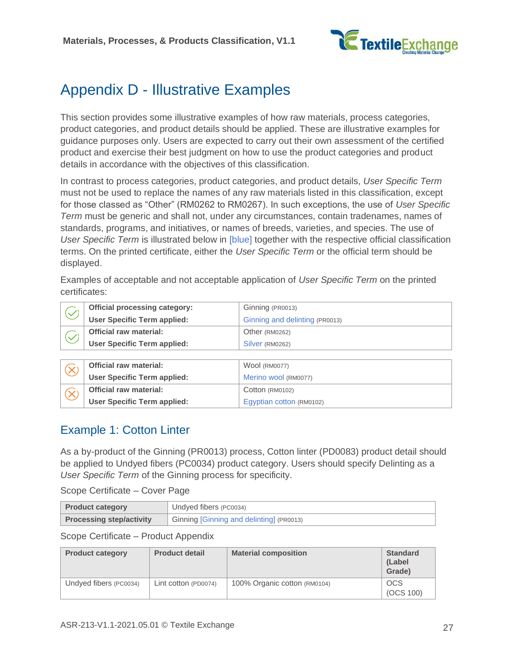

## <span id="page-26-0"></span>Appendix D - Illustrative Examples

This section provides some illustrative examples of how raw materials, process categories, product categories, and product details should be applied. These are illustrative examples for guidance purposes only. Users are expected to carry out their own assessment of the certified product and exercise their best judgment on how to use the product categories and product details in accordance with the objectives of this classification.

In contrast to process categories, product categories, and product details, *[User Specific Term](#page-6-0)* must not be used to replace the names of any raw materials listed in this classification, except for those classed as "Other" (RM0262 to RM0267). In such exceptions, the use of *[User Specific](#page-6-0)  [Term](#page-6-0)* must be generic and shall not, under any circumstances, contain tradenames, names of standards, programs, and initiatives, or names of breeds, varieties, and species. The use of *[User Specific Term](#page-6-0)* is illustrated below in [blue] together with the respective official classification terms. On the printed certificate, either the *[User Specific Term](#page-6-0)* or the official term should be displayed.

Examples of acceptable and not acceptable application of *[User Specific Term](#page-6-0)* on the printed certificates:

| Official processing category:      | Ginning (PR0013)               |
|------------------------------------|--------------------------------|
| <b>User Specific Term applied:</b> | Ginning and delinting (PR0013) |
| <b>Official raw material:</b>      | Other (RM0262)                 |
| <b>User Specific Term applied:</b> | Silver (RM0262)                |

| Official raw material:             | Wool (RM0077)            |
|------------------------------------|--------------------------|
| <b>User Specific Term applied:</b> | Merino wool (RM0077)     |
| <b>Official raw material:</b>      | Cotton (RM0102)          |
| <b>User Specific Term applied:</b> | Egyptian cotton (RM0102) |

## <span id="page-26-1"></span>Example 1: Cotton Linter

As a by-product of the Ginning (PR0013) process, Cotton linter (PD0083) product detail should be applied to Undyed fibers (PC0034) product category. Users should specify Delinting as a *[User Specific Term](#page-6-0)* of the Ginning process for specificity.

Scope Certificate – Cover Page

| <b>Product category</b>         | Undyed fibers (PC0034)                   |
|---------------------------------|------------------------------------------|
| <b>Processing step/activity</b> | Ginning [Ginning and delinting] (PR0013) |

| <b>Product category</b> | <b>Product detail</b> | <b>Material composition</b>  | <b>Standard</b><br>(Label)<br>Grade) |
|-------------------------|-----------------------|------------------------------|--------------------------------------|
| Undyed fibers (PC0034)  | Lint cotton (PD0074)  | 100% Organic cotton (RM0104) | <b>OCS</b><br>(OCS 100)              |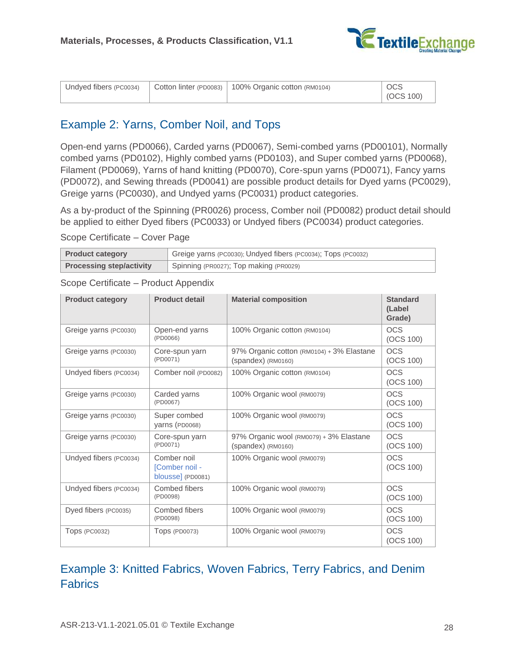

| Undyed fibers (PC0034) |  | Cotton linter (PD0083)   100% Organic cotton (RM0104) | <b>OCS</b><br>(OCS 100) |
|------------------------|--|-------------------------------------------------------|-------------------------|
|------------------------|--|-------------------------------------------------------|-------------------------|

## <span id="page-27-0"></span>Example 2: Yarns, Comber Noil, and Tops

Open-end yarns (PD0066), Carded yarns (PD0067), Semi-combed yarns (PD00101), Normally combed yarns (PD0102), Highly combed yarns (PD0103), and Super combed yarns (PD0068), Filament (PD0069), Yarns of hand knitting (PD0070), Core-spun yarns (PD0071), Fancy yarns (PD0072), and Sewing threads (PD0041) are possible product details for Dyed yarns (PC0029), Greige yarns (PC0030), and Undyed yarns (PC0031) product categories.

As a by-product of the Spinning (PR0026) process, Comber noil (PD0082) product detail should be applied to either Dyed fibers (PC0033) or Undyed fibers (PC0034) product categories.

Scope Certificate – Cover Page

| <b>Product category</b>         | Greige yarns (PC0030); Undyed fibers (PC0034); Tops (PC0032) |
|---------------------------------|--------------------------------------------------------------|
| <b>Processing step/activity</b> | Spinning (PR0027); Top making (PR0029)                       |

Scope Certificate – Product Appendix

| <b>Product category</b> | <b>Product detail</b>                              | <b>Material composition</b>                                       | <b>Standard</b><br>(Label<br>Grade) |
|-------------------------|----------------------------------------------------|-------------------------------------------------------------------|-------------------------------------|
| Greige yarns (PC0030)   | Open-end yarns<br>(PD0066)                         | 100% Organic cotton (RM0104)                                      | <b>OCS</b><br>(OCS 100)             |
| Greige yarns (PC0030)   | Core-spun yarn<br>(PD0071)                         | 97% Organic cotton (RM0104) + 3% Elastane<br>$(spandes)$ (RM0160) | <b>OCS</b><br>(OCS 100)             |
| Undyed fibers (PC0034)  | Comber noil (PD0082)                               | 100% Organic cotton (RM0104)                                      | <b>OCS</b><br>(OCS 100)             |
| Greige yarns (PC0030)   | Carded yarns<br>(PD0067)                           | 100% Organic wool (RM0079)                                        | <b>OCS</b><br>(OCS 100)             |
| Greige yarns (PC0030)   | Super combed<br>yarns (PD0068)                     | 100% Organic wool (RM0079)                                        | <b>OCS</b><br>(OCS 100)             |
| Greige yarns (PC0030)   | Core-spun yarn<br>(PD0071)                         | 97% Organic wool (RM0079) + 3% Elastane<br>$(spandes)$ (RM0160)   | <b>OCS</b><br>(OCS 100)             |
| Undyed fibers (PC0034)  | Comber noil<br>[Comber noil -<br>blousse] (PD0081) | 100% Organic wool (RM0079)                                        | <b>OCS</b><br>(OCS 100)             |
| Undyed fibers (PC0034)  | Combed fibers<br>(PD0098)                          | 100% Organic wool (RM0079)                                        | <b>OCS</b><br>(OCS 100)             |
| Dyed fibers (PC0035)    | Combed fibers<br>(PD0098)                          | 100% Organic wool (RM0079)                                        | <b>OCS</b><br>(OCS 100)             |
| <b>TODS (PC0032)</b>    | <b>Tops (PD0073)</b>                               | 100% Organic wool (RM0079)                                        | <b>OCS</b><br>(OCS 100)             |

## <span id="page-27-1"></span>Example 3: Knitted Fabrics, Woven Fabrics, Terry Fabrics, and Denim **Fabrics**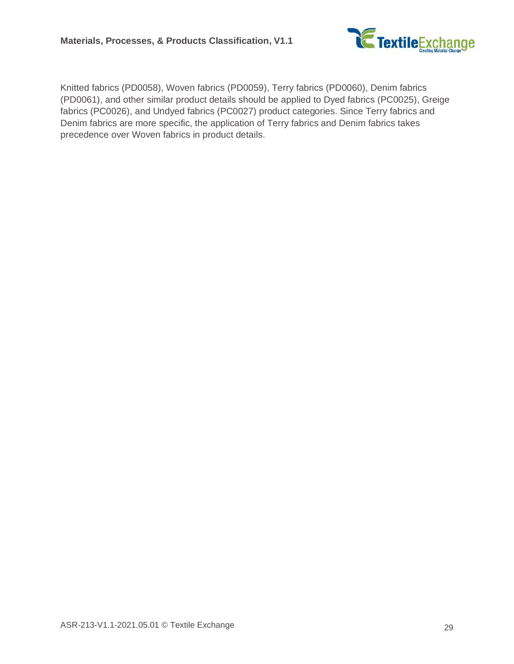

Knitted fabrics (PD0058), Woven fabrics (PD0059), Terry fabrics (PD0060), Denim fabrics (PD0061), and other similar product details should be applied to Dyed fabrics (PC0025), Greige fabrics (PC0026), and Undyed fabrics (PC0027) product categories. Since Terry fabrics and Denim fabrics are more specific, the application of Terry fabrics and Denim fabrics takes precedence over Woven fabrics in product details.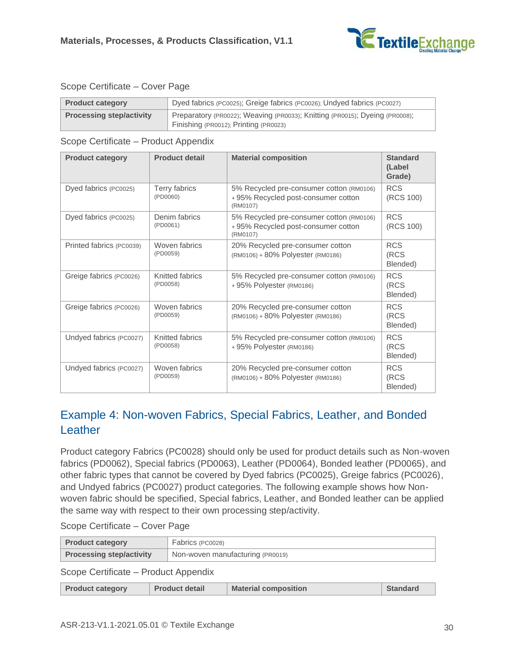

#### Scope Certificate – Cover Page

| <b>Product category</b>         | Dyed fabrics (PC0025); Greige fabrics (PC0026); Undyed fabrics (PC0027)                                              |
|---------------------------------|----------------------------------------------------------------------------------------------------------------------|
| <b>Processing step/activity</b> | Preparatory (PR0022); Weaving (PR0033); Knitting (PR0015); Dyeing (PR0008);<br>Finishing (PR0012); Printing (PR0023) |

#### Scope Certificate – Product Appendix

| <b>Product category</b>  | <b>Product detail</b>       | <b>Material composition</b>                                                                | <b>Standard</b><br>(Label<br>Grade) |
|--------------------------|-----------------------------|--------------------------------------------------------------------------------------------|-------------------------------------|
| Dyed fabrics (PC0025)    | Terry fabrics<br>(PD0060)   | 5% Recycled pre-consumer cotton (RM0106)<br>+95% Recycled post-consumer cotton<br>(RM0107) | <b>RCS</b><br>(RCS 100)             |
| Dyed fabrics (PC0025)    | Denim fabrics<br>(PD0061)   | 5% Recycled pre-consumer cotton (RM0106)<br>+95% Recycled post-consumer cotton<br>(RM0107) | <b>RCS</b><br>(RCS 100)             |
| Printed fabrics (PC0039) | Woven fabrics<br>(PD0059)   | 20% Recycled pre-consumer cotton<br>(RM0106) + 80% Polyester (RM0186)                      | <b>RCS</b><br>(RCS<br>Blended)      |
| Greige fabrics (PC0026)  | Knitted fabrics<br>(PD0058) | 5% Recycled pre-consumer cotton (RM0106)<br>+95% Polyester (RM0186)                        | <b>RCS</b><br>(RCS<br>Blended)      |
| Greige fabrics (PC0026)  | Woven fabrics<br>(PD0059)   | 20% Recycled pre-consumer cotton<br>(RM0106) + 80% Polyester (RM0186)                      | <b>RCS</b><br>(RCS<br>Blended)      |
| Undyed fabrics (PC0027)  | Knitted fabrics<br>(PD0058) | 5% Recycled pre-consumer cotton (RM0106)<br>+95% Polyester (RM0186)                        | <b>RCS</b><br>(RCS<br>Blended)      |
| Undyed fabrics (PC0027)  | Woven fabrics<br>(PD0059)   | 20% Recycled pre-consumer cotton<br>(RM0106) + 80% Polyester (RM0186)                      | <b>RCS</b><br>(RCS<br>Blended)      |

## <span id="page-29-0"></span>Example 4: Non-woven Fabrics, Special Fabrics, Leather, and Bonded **Leather**

Product category Fabrics (PC0028) should only be used for product details such as Non-woven fabrics (PD0062), Special fabrics (PD0063), Leather (PD0064), Bonded leather (PD0065), and other fabric types that cannot be covered by Dyed fabrics (PC0025), Greige fabrics (PC0026), and Undyed fabrics (PC0027) product categories. The following example shows how Nonwoven fabric should be specified, Special fabrics, Leather, and Bonded leather can be applied the same way with respect to their own processing step/activity.

|  | Scope Certificate - Cover Page |  |  |
|--|--------------------------------|--|--|
|--|--------------------------------|--|--|

| <b>Product category</b>         | Fabrics (PC0028)                 |
|---------------------------------|----------------------------------|
| <b>Processing step/activity</b> | Non-woven manufacturing (PR0019) |
|                                 |                                  |

| <b>Product category</b> | <b>Product detail</b> | <b>Material composition</b> | <b>Standard</b> |
|-------------------------|-----------------------|-----------------------------|-----------------|
|                         |                       |                             |                 |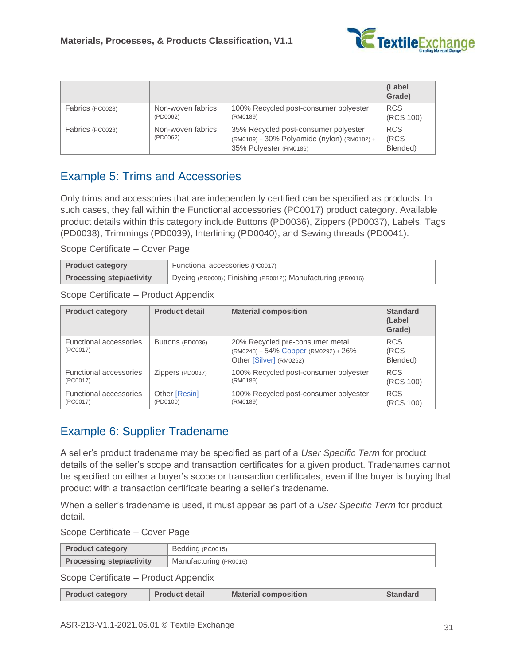

|                  |                               |                                                                                                               | (Label<br>Grade)               |
|------------------|-------------------------------|---------------------------------------------------------------------------------------------------------------|--------------------------------|
| Fabrics (PC0028) | Non-woven fabrics<br>(PD0062) | 100% Recycled post-consumer polyester<br>(RM0189)                                                             | <b>RCS</b><br>(RCS 100)        |
| Fabrics (PC0028) | Non-woven fabrics<br>(PD0062) | 35% Recycled post-consumer polyester<br>(RM0189) + 30% Polyamide (nylon) (RM0182) +<br>35% Polyester (RM0186) | <b>RCS</b><br>(RCS<br>Blended) |

## <span id="page-30-0"></span>Example 5: Trims and Accessories

Only trims and accessories that are independently certified can be specified as products. In such cases, they fall within the Functional accessories (PC0017) product category. Available product details within this category include Buttons (PD0036), Zippers (PD0037), Labels, Tags (PD0038), Trimmings (PD0039), Interlining (PD0040), and Sewing threads (PD0041).

Scope Certificate – Cover Page

| <b>Product category</b>         | Functional accessories (PC0017)                             |
|---------------------------------|-------------------------------------------------------------|
| <b>Processing step/activity</b> | Dyeing (PR0008); Finishing (PR0012); Manufacturing (PR0016) |

Scope Certificate – Product Appendix

| <b>Product category</b>            | <b>Product detail</b> | <b>Material composition</b>                                                                              | <b>Standard</b><br>(Label)<br>Grade) |
|------------------------------------|-----------------------|----------------------------------------------------------------------------------------------------------|--------------------------------------|
| Functional accessories<br>(PC0017) | Buttons (PD0036)      | 20% Recycled pre-consumer metal<br>$(RM0248) + 54\%$ Copper $(RM0292) + 26\%$<br>Other [Silver] (RM0262) | <b>RCS</b><br>(RCS<br>Blended)       |
| <b>Functional accessories</b>      | Zippers (PD0037)      | 100% Recycled post-consumer polyester                                                                    | <b>RCS</b>                           |
| (PC0017)                           |                       | (RM0189)                                                                                                 | (RCS 100)                            |
| <b>Functional accessories</b>      | Other [Resin]         | 100% Recycled post-consumer polyester                                                                    | <b>RCS</b>                           |
| (PC0017)                           | (PD0100)              | (RM0189)                                                                                                 | (RCS 100)                            |

## <span id="page-30-1"></span>Example 6: Supplier Tradename

A seller's product tradename may be specified as part of a *[User Specific Term](#page-6-0)* for product details of the seller's scope and transaction certificates for a given product. Tradenames cannot be specified on either a buyer's scope or transaction certificates, even if the buyer is buying that product with a transaction certificate bearing a seller's tradename.

When a seller's tradename is used, it must appear as part of a *[User Specific Term](#page-6-0)* for product detail.

Scope Certificate – Cover Page

| <b>Product category</b>         | Bedding (PC0015)       |
|---------------------------------|------------------------|
| <b>Processing step/activity</b> | Manufacturing (PR0016) |

| <b>Product category</b> | <b>Product detail</b> | <b>Material composition</b> | <b>Standard</b> |
|-------------------------|-----------------------|-----------------------------|-----------------|
|-------------------------|-----------------------|-----------------------------|-----------------|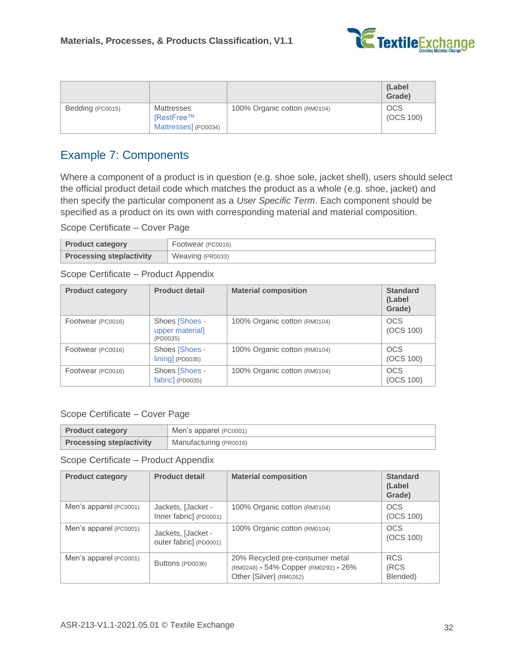

|                  |                      |                              | (Label<br>Grade) |
|------------------|----------------------|------------------------------|------------------|
| Bedding (PC0015) | Mattresses           | 100% Organic cotton (RM0104) | <b>OCS</b>       |
|                  | IRestFree™           |                              | (OCS 100)        |
|                  | Mattresses] (PD0034) |                              |                  |

## <span id="page-31-0"></span>Example 7: Components

Where a component of a product is in question (e.g. shoe sole, jacket shell), users should select the official product detail code which matches the product as a whole (e.g. shoe, jacket) and then specify the particular component as a *[User Specific Term](#page-6-0)*. Each component should be specified as a product on its own with corresponding material and material composition.

Scope Certificate – Cover Page

| <b>Product category</b>         | Footwear (PC0016) |
|---------------------------------|-------------------|
| <b>Processing step/activity</b> | Weaving (PR0033)  |

Scope Certificate – Product Appendix

| <b>Product category</b> | <b>Product detail</b>                                                    | <b>Material composition</b>  | <b>Standard</b><br>(Label)<br>Grade) |
|-------------------------|--------------------------------------------------------------------------|------------------------------|--------------------------------------|
| Footwear (PC0016)       | Shoes [Shoes -<br>upper material]<br>(PD0035)                            | 100% Organic cotton (RM0104) | <b>OCS</b><br>(OCS 100)              |
| Footwear (PC0016)       | Shoes [Shoes -<br>$\lfloor \lfloor \frac{m}{2} \rfloor \rfloor$ (PD0035) | 100% Organic cotton (RM0104) | <b>OCS</b><br>(OCS 100)              |
| Footwear (PC0016)       | Shoes [Shoes -<br>fabric] (PD0035)                                       | 100% Organic cotton (RM0104) | <b>OCS</b><br>(OCS 100)              |

#### Scope Certificate – Cover Page

| <b>Product category</b>                                   | Men's apparel (PC0001) |  |
|-----------------------------------------------------------|------------------------|--|
| <b>Processing step/activity</b><br>Manufacturing (PR0016) |                        |  |

| <b>Product category</b> | <b>Product detail</b>                        | <b>Material composition</b>                                                                        | <b>Standard</b><br>(Label<br>Grade) |
|-------------------------|----------------------------------------------|----------------------------------------------------------------------------------------------------|-------------------------------------|
| Men's apparel (PC0001)  | Jackets, [Jacket -<br>Inner fabric] (PD0001) | 100% Organic cotton (RM0104)                                                                       | <b>OCS</b><br>(OCS 100)             |
| Men's apparel (PC0001)  | Jackets, [Jacket -<br>outer fabric] (PD0001) | 100% Organic cotton (RM0104)                                                                       | <b>OCS</b><br>(OCS 100)             |
| Men's apparel (PC0001)  | Buttons (PD0036)                             | 20% Recycled pre-consumer metal<br>(RM0248) + 54% Copper (RM0292) + 26%<br>Other [Silver] (RM0262) | <b>RCS</b><br>(RCS<br>Blended)      |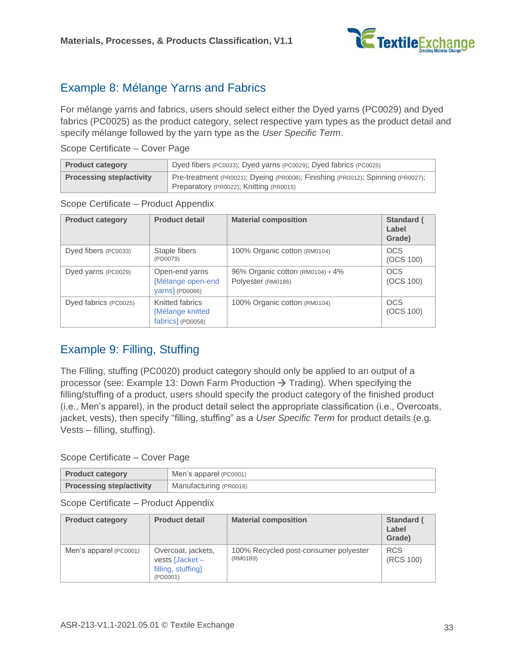

## <span id="page-32-0"></span>Example 8: Mélange Yarns and Fabrics

For mélange yarns and fabrics, users should select either the Dyed yarns (PC0029) and Dyed fabrics (PC0025) as the product category, select respective yarn types as the product detail and specify mélange followed by the yarn type as the *[User Specific Term](#page-6-0)*.

Scope Certificate – Cover Page

| <b>Product category</b>         | Dyed fibers (PC0033); Dyed yarns (PC0029); Dyed fabrics (PC0025)                                                           |  |
|---------------------------------|----------------------------------------------------------------------------------------------------------------------------|--|
| <b>Processing step/activity</b> | Pre-treatment (PR0021); Dyeing (PR0008); Finishing (PR0012); Spinning (PR0027);<br>Preparatory (PR0022); Knitting (PR0015) |  |

Scope Certificate – Product Appendix

| <b>Product category</b> | <b>Product detail</b>                                    | <b>Material composition</b>                            | Standard (<br>Label<br>Grade) |
|-------------------------|----------------------------------------------------------|--------------------------------------------------------|-------------------------------|
| Dyed fibers (PC0033)    | Staple fibers<br>(PD0079)                                | 100% Organic cotton (RM0104)                           | <b>OCS</b><br>(OCS 100)       |
| Dyed yarns (PC0029)     | Open-end yarns<br>Mélange open-end<br>yarns] (PD0066)    | 96% Organic cotton (RM0104) + 4%<br>Polyester (RM0186) | <b>OCS</b><br>(OCS 100)       |
| Dyed fabrics (PC0025)   | Knitted fabrics<br>[Mélange knitted<br>fabrics] (PD0058) | 100% Organic cotton (RM0104)                           | <b>OCS</b><br>(OCS 100)       |

## <span id="page-32-1"></span>Example 9: Filling, Stuffing

The Filling, stuffing (PC0020) product category should only be applied to an output of a processor (see: Example 13: Down Farm Production  $\rightarrow$  Trading). When specifying the filling/stuffing of a product, users should specify the product category of the finished product (i.e., Men's apparel), in the product detail select the appropriate classification (i.e., Overcoats, jacket, vests), then specify "filling, stuffing" as a *[User Specific Term](#page-6-0)* for product details (e.g. Vests – filling, stuffing).

#### Scope Certificate – Cover Page

| <b>Product category</b>                                   | Men's apparel (PC0001) |  |
|-----------------------------------------------------------|------------------------|--|
| <b>Processing step/activity</b><br>Manufacturing (PR0016) |                        |  |

| <b>Product category</b> | <b>Product detail</b>                                                                  | <b>Material composition</b>                       | <b>Standard (</b><br>Label<br>Grade) |
|-------------------------|----------------------------------------------------------------------------------------|---------------------------------------------------|--------------------------------------|
| Men's apparel (PC0001)  | Overcoat, jackets,<br>vests $\sqrt{\text{Jacket}}$ –<br>filling, stuffing]<br>(PD0001) | 100% Recycled post-consumer polyester<br>(RM0189) | <b>RCS</b><br>(RCS 100)              |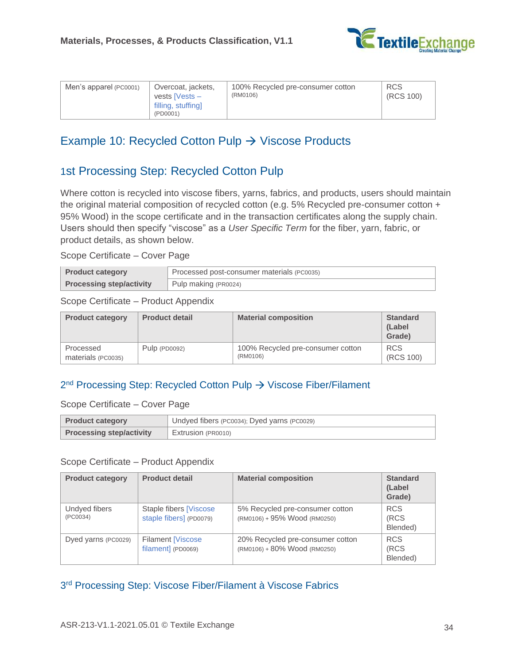

| Men's apparel (PC0001) | Overcoat, jackets,<br>vests $Nests -$<br>filling, stuffing | 100% Recycled pre-consumer cotton<br>(RM0106) | <b>RCS</b><br>(RCS 100) |
|------------------------|------------------------------------------------------------|-----------------------------------------------|-------------------------|
|                        | (PD0001)                                                   |                                               |                         |

## <span id="page-33-0"></span>Example 10: Recycled Cotton Pulp  $\rightarrow$  Viscose Products

## 1st Processing Step: Recycled Cotton Pulp

Where cotton is recycled into viscose fibers, yarns, fabrics, and products, users should maintain the original material composition of recycled cotton (e.g. 5% Recycled pre-consumer cotton + 95% Wood) in the scope certificate and in the transaction certificates along the supply chain. Users should then specify "viscose" as a *[User Specific Term](#page-6-0)* for the fiber, yarn, fabric, or product details, as shown below.

Scope Certificate – Cover Page

| <b>Product category</b>         | Processed post-consumer materials (PC0035) |  |
|---------------------------------|--------------------------------------------|--|
| <b>Processing step/activity</b> | Pulp making (PR0024)                       |  |

Scope Certificate – Product Appendix

| <b>Product category</b> | <b>Product detail</b> | <b>Material composition</b>       | <b>Standard</b><br>(Label<br>Grade) |
|-------------------------|-----------------------|-----------------------------------|-------------------------------------|
| Processed               | Pulp $(PD0092)$       | 100% Recycled pre-consumer cotton | <b>RCS</b>                          |
| materials (PC0035)      |                       | (RM0106)                          | (RCS 100)                           |

### 2<sup>nd</sup> Processing Step: Recycled Cotton Pulp → Viscose Fiber/Filament

Scope Certificate – Cover Page

| <b>Product category</b>         | Undyed fibers (PC0034); Dyed yarns (PC0029) |
|---------------------------------|---------------------------------------------|
| <b>Processing step/activity</b> | Extrusion (PR0010)                          |

#### Scope Certificate – Product Appendix

| <b>Product category</b>   | <b>Product detail</b>                              | <b>Material composition</b>                                      | <b>Standard</b><br>(Label<br>Grade) |
|---------------------------|----------------------------------------------------|------------------------------------------------------------------|-------------------------------------|
| Undyed fibers<br>(PC0034) | Staple fibers [Viscose]<br>staple fibers] (PD0079) | 5% Recycled pre-consumer cotton<br>(RM0106) + 95% Wood (RM0250)  | <b>RCS</b><br>(RCS<br>Blended)      |
| Dyed yarns (PC0029)       | <b>Filament [Viscose</b><br>filament] (PD0069)     | 20% Recycled pre-consumer cotton<br>(RM0106) + 80% Wood (RM0250) | <b>RCS</b><br>(RCS<br>Blended)      |

3<sup>rd</sup> Processing Step: Viscose Fiber/Filament à Viscose Fabrics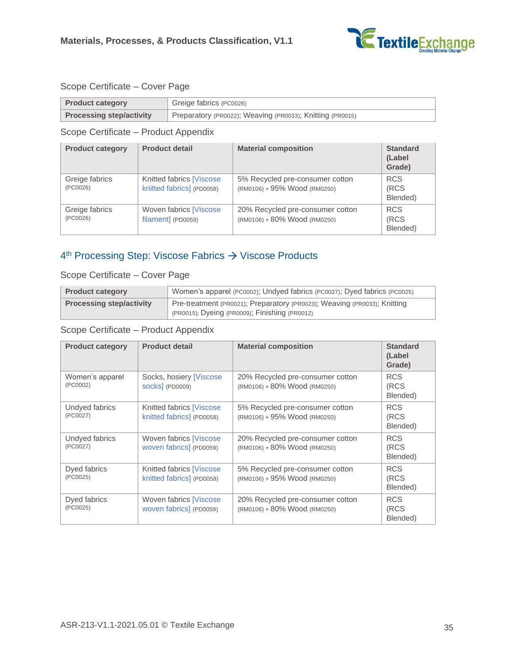

#### Scope Certificate – Cover Page

| <b>Product category</b>         | Greige fabrics (PC0026)                                   |
|---------------------------------|-----------------------------------------------------------|
| <b>Processing step/activity</b> | Preparatory (PR0022); Weaving (PR0033); Knitting (PR0015) |

Scope Certificate – Product Appendix

| <b>Product category</b>    | <b>Product detail</b>                                 | <b>Material composition</b>                                      | <b>Standard</b><br>(Label<br>Grade) |
|----------------------------|-------------------------------------------------------|------------------------------------------------------------------|-------------------------------------|
| Greige fabrics<br>(PC0026) | Knitted fabrics [Viscose<br>knitted fabrics] (PD0058) | 5% Recycled pre-consumer cotton<br>(RM0106) + 95% Wood (RM0250)  | <b>RCS</b><br>(RCS<br>Blended)      |
| Greige fabrics<br>(PC0026) | Woven fabrics [Viscose<br>filament] (PD0059)          | 20% Recycled pre-consumer cotton<br>(RM0106) + 80% Wood (RM0250) | <b>RCS</b><br>(RCS<br>Blended)      |

### 4<sup>th</sup> Processing Step: Viscose Fabrics → Viscose Products

Scope Certificate – Cover Page

| <b>Product category</b>         | Women's apparel (PC0002); Undyed fabrics (PC0027); Dyed fabrics (PC0025)                                                  |  |
|---------------------------------|---------------------------------------------------------------------------------------------------------------------------|--|
| <b>Processing step/activity</b> | Pre-treatment (PR0021); Preparatory (PR0023); Weaving (PR0033); Knitting<br>(PR0015); Dyeing (PR0009); Finishing (PR0012) |  |

| <b>Product category</b>     | <b>Product detail</b>                                  | <b>Material composition</b>                                      | <b>Standard</b><br>(Label<br>Grade) |
|-----------------------------|--------------------------------------------------------|------------------------------------------------------------------|-------------------------------------|
| Women's apparel<br>(PC0002) | Socks, hosiery [Viscose]<br><b>SOCKS</b> (PD0009)      | 20% Recycled pre-consumer cotton<br>(RM0106) + 80% Wood (RM0250) | <b>RCS</b><br>(RCS<br>Blended)      |
| Undyed fabrics<br>(PC0027)  | Knitted fabrics [Viscose]<br>knitted fabrics] (PD0058) | 5% Recycled pre-consumer cotton<br>(RM0106) + 95% Wood (RM0250)  | <b>RCS</b><br>(RCS<br>Blended)      |
| Undyed fabrics<br>(PC0027)  | Woven fabrics [Viscose<br>woven fabrics] (PD0059)      | 20% Recycled pre-consumer cotton<br>(RM0106) + 80% Wood (RM0250) | <b>RCS</b><br>(RCS<br>Blended)      |
| Dyed fabrics<br>(PC0025)    | Knitted fabrics [Viscose<br>knitted fabrics] (PD0058)  | 5% Recycled pre-consumer cotton<br>(RM0106) + 95% Wood (RM0250)  | <b>RCS</b><br>(RCS<br>Blended)      |
| Dyed fabrics<br>(PC0025)    | Woven fabrics [Viscose<br>woven fabrics] (PD0059)      | 20% Recycled pre-consumer cotton<br>(RM0106) + 80% Wood (RM0250) | <b>RCS</b><br>(RCS<br>Blended)      |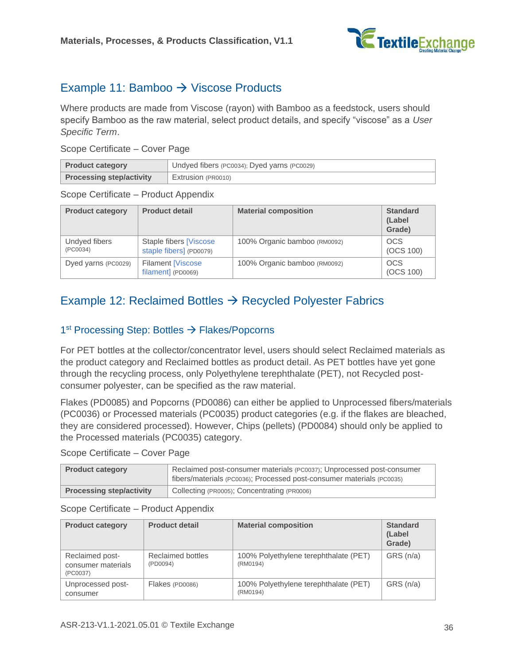

## <span id="page-35-0"></span>Example 11: Bamboo  $\rightarrow$  Viscose Products

Where products are made from Viscose (rayon) with Bamboo as a feedstock, users should specify Bamboo as the raw material, select product details, and specify "viscose" as a *[User](#page-6-0)  [Specific Term](#page-6-0)*.

Scope Certificate – Cover Page

| <b>Product category</b>         | Undyed fibers (PC0034); Dyed yarns (PC0029) |  |
|---------------------------------|---------------------------------------------|--|
| <b>Processing step/activity</b> | Extrusion (PR0010)                          |  |

Scope Certificate – Product Appendix

| <b>Product category</b>   | <b>Product detail</b>                              | <b>Material composition</b>  | <b>Standard</b><br>(Label<br>Grade) |
|---------------------------|----------------------------------------------------|------------------------------|-------------------------------------|
| Undyed fibers<br>(PC0034) | Staple fibers [Viscose]<br>staple fibers] (PD0079) | 100% Organic bamboo (RM0092) | <b>OCS</b><br>(OCS 100)             |
| Dyed yarns (PC0029)       | <b>Filament [Viscose</b><br>filament] (PD0069)     | 100% Organic bamboo (RM0092) | <b>OCS</b><br>(OCS 100)             |

## <span id="page-35-1"></span>Example 12: Reclaimed Bottles  $\rightarrow$  Recycled Polyester Fabrics

#### 1<sup>st</sup> Processing Step: Bottles → Flakes/Popcorns

For PET bottles at the collector/concentrator level, users should select Reclaimed materials as the product category and Reclaimed bottles as product detail. As PET bottles have yet gone through the recycling process, only Polyethylene terephthalate (PET), not Recycled postconsumer polyester, can be specified as the raw material.

Flakes (PD0085) and Popcorns (PD0086) can either be applied to Unprocessed fibers/materials (PC0036) or Processed materials (PC0035) product categories (e.g. if the flakes are bleached, they are considered processed). However, Chips (pellets) (PD0084) should only be applied to the Processed materials (PC0035) category.

Scope Certificate – Cover Page

| <b>Product category</b>         | Reclaimed post-consumer materials (PC0037); Unprocessed post-consumer<br>fibers/materials (PC0036); Processed post-consumer materials (PC0035) |
|---------------------------------|------------------------------------------------------------------------------------------------------------------------------------------------|
| <b>Processing step/activity</b> | Collecting (PR0005); Concentrating (PR0006)                                                                                                    |

| <b>Product category</b>                           | <b>Product detail</b>         | <b>Material composition</b>                       | <b>Standard</b><br>(Label<br>Grade) |
|---------------------------------------------------|-------------------------------|---------------------------------------------------|-------------------------------------|
| Reclaimed post-<br>consumer materials<br>(PC0037) | Reclaimed bottles<br>(PD0094) | 100% Polyethylene terephthalate (PET)<br>(RM0194) | GRS (n/a)                           |
| Unprocessed post-<br>consumer                     | Flakes (PD0086)               | 100% Polyethylene terephthalate (PET)<br>(RM0194) | GRS (n/a)                           |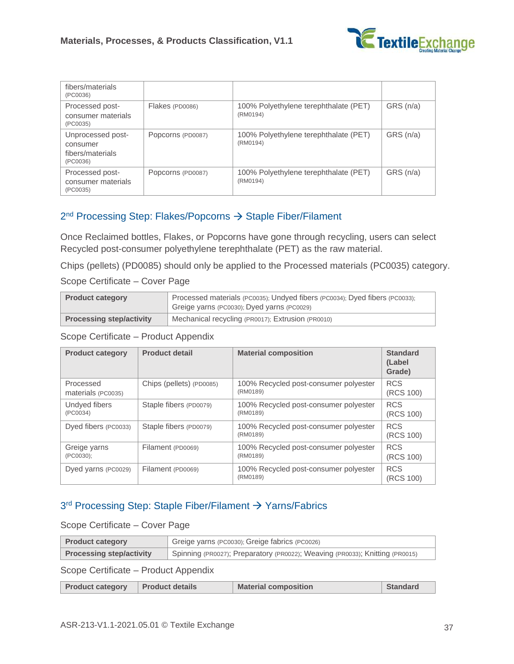

| fibers/materials<br>(PC0036)                                  |                   |                                                   |          |
|---------------------------------------------------------------|-------------------|---------------------------------------------------|----------|
| Processed post-<br>consumer materials<br>(PC0035)             | Flakes (PD0086)   | 100% Polyethylene terephthalate (PET)<br>(RM0194) | GRS(n/a) |
| Unprocessed post-<br>consumer<br>fibers/materials<br>(PC0036) | Popcorns (PD0087) | 100% Polyethylene terephthalate (PET)<br>(RM0194) | GRS(n/a) |
| Processed post-<br>consumer materials<br>(PC0035)             | Popcorns (PD0087) | 100% Polyethylene terephthalate (PET)<br>(RM0194) | GRS(n/a) |

#### 2<sup>nd</sup> Processing Step: Flakes/Popcorns → Staple Fiber/Filament

Once Reclaimed bottles, Flakes, or Popcorns have gone through recycling, users can select Recycled post-consumer polyethylene terephthalate (PET) as the raw material.

Chips (pellets) (PD0085) should only be applied to the Processed materials (PC0035) category.

#### Scope Certificate – Cover Page

| <b>Product category</b>         | Processed materials (PC0035); Undyed fibers (PC0034); Dyed fibers (PC0033);<br>Greige yarns (PC0030); Dyed yarns (PC0029) |
|---------------------------------|---------------------------------------------------------------------------------------------------------------------------|
| <b>Processing step/activity</b> | Mechanical recycling (PR0017); Extrusion (PR0010)                                                                         |

Scope Certificate – Product Appendix

| <b>Product category</b> | <b>Product detail</b>    | <b>Material composition</b>                       | <b>Standard</b><br>(Label<br>Grade) |
|-------------------------|--------------------------|---------------------------------------------------|-------------------------------------|
| Processed               | Chips (pellets) (PD0085) | 100% Recycled post-consumer polyester             | <b>RCS</b>                          |
| materials (PC0035)      |                          | (RM0189)                                          | (RCS 100)                           |
| Undyed fibers           | Staple fibers (PD0079)   | 100% Recycled post-consumer polyester             | <b>RCS</b>                          |
| (PC0034)                |                          | (RM0189)                                          | (RCS 100)                           |
| Dyed fibers (PC0033)    | Staple fibers (PD0079)   | 100% Recycled post-consumer polyester<br>(RM0189) | <b>RCS</b><br>(RCS 100)             |
| Greige yarns            | Filament (PD0069)        | 100% Recycled post-consumer polyester             | <b>RCS</b>                          |
| (PC0030);               |                          | (RM0189)                                          | (RCS 100)                           |
| Dyed yarns (PC0029)     | Filament (PD0069)        | 100% Recycled post-consumer polyester<br>(RM0189) | <b>RCS</b><br>(RCS 100)             |

#### 3<sup>rd</sup> Processing Step: Staple Fiber/Filament → Yarns/Fabrics

#### Scope Certificate – Cover Page

| Greige yarns (PC0030); Greige fabrics (PC0026)<br><b>Product category</b> |                                                                              |
|---------------------------------------------------------------------------|------------------------------------------------------------------------------|
| <b>Processing step/activity</b>                                           | Spinning (PR0027); Preparatory (PR0022); Weaving (PR0033); Knitting (PR0015) |

| <b>Product category</b> | <b>Product details</b> | <b>Material composition</b> | Standard |
|-------------------------|------------------------|-----------------------------|----------|
|-------------------------|------------------------|-----------------------------|----------|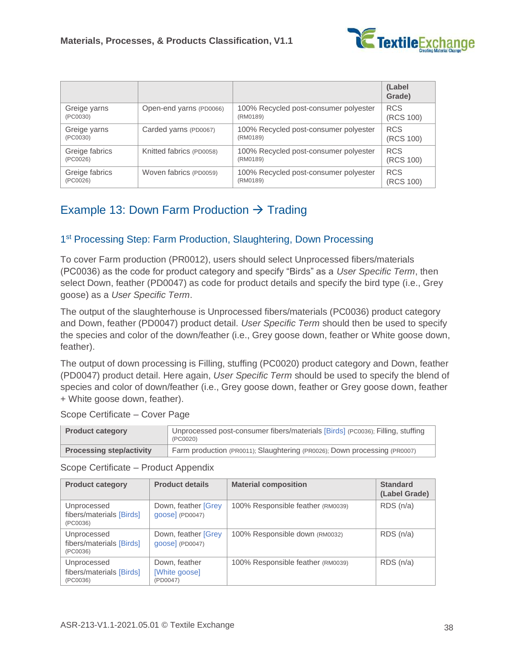

|                |                          |                                       | (Label<br>Grade) |
|----------------|--------------------------|---------------------------------------|------------------|
| Greige yarns   | Open-end yarns (PD0066)  | 100% Recycled post-consumer polyester | <b>RCS</b>       |
| (PC0030)       |                          | (RM0189)                              | (RCS 100)        |
| Greige yarns   | Carded yarns (PD0067)    | 100% Recycled post-consumer polyester | <b>RCS</b>       |
| (PC0030)       |                          | (RM0189)                              | (RCS 100)        |
| Greige fabrics | Knitted fabrics (PD0058) | 100% Recycled post-consumer polyester | <b>RCS</b>       |
| (PC0026)       |                          | (RM0189)                              | (RCS 100)        |
| Greige fabrics | Woven fabrics (PD0059)   | 100% Recycled post-consumer polyester | <b>RCS</b>       |
| (PC0026)       |                          | (RM0189)                              | (RCS 100)        |

## <span id="page-37-0"></span>Example 13: Down Farm Production  $\rightarrow$  Trading

#### 1<sup>st</sup> Processing Step: Farm Production, Slaughtering, Down Processing

To cover Farm production (PR0012), users should select Unprocessed fibers/materials (PC0036) as the code for product category and specify "Birds" as a *[User Specific Term](#page-6-0)*, then select Down, feather (PD0047) as code for product details and specify the bird type (i.e., Grey goose) as a *[User Specific Term](#page-6-0)*.

The output of the slaughterhouse is Unprocessed fibers/materials (PC0036) product category and Down, feather (PD0047) product detail. *[User Specific Term](#page-6-0)* should then be used to specify the species and color of the down/feather (i.e., Grey goose down, feather or White goose down, feather).

The output of down processing is Filling, stuffing (PC0020) product category and Down, feather (PD0047) product detail. Here again, *[User Specific Term](#page-6-0)* should be used to specify the blend of species and color of down/feather (i.e., Grey goose down, feather or Grey goose down, feather + White goose down, feather).

Scope Certificate – Cover Page

| <b>Product category</b>         | Unprocessed post-consumer fibers/materials [Birds] (PC0036); Filling, stuffing<br>(PC0020) |
|---------------------------------|--------------------------------------------------------------------------------------------|
| <b>Processing step/activity</b> | Farm production (PR0011); Slaughtering (PR0026); Down processing (PR0007)                  |

| <b>Product category</b>                             | <b>Product details</b>                     | <b>Material composition</b>       | <b>Standard</b><br>(Label Grade) |
|-----------------------------------------------------|--------------------------------------------|-----------------------------------|----------------------------------|
| Unprocessed<br>fibers/materials [Birds]<br>(PC0036) | Down, feather [Grey]<br>[3] (PD0047)       | 100% Responsible feather (RM0039) | RDS(n/a)                         |
| Unprocessed<br>fibers/materials [Birds]<br>(PC0036) | Down, feather [Grey]<br>$qoose$ $(PD0047)$ | 100% Responsible down (RM0032)    | RDS(n/a)                         |
| Unprocessed<br>fibers/materials [Birds]<br>(PC0036) | Down, feather<br>[White goose]<br>(PD0047) | 100% Responsible feather (RM0039) | RDS(n/a)                         |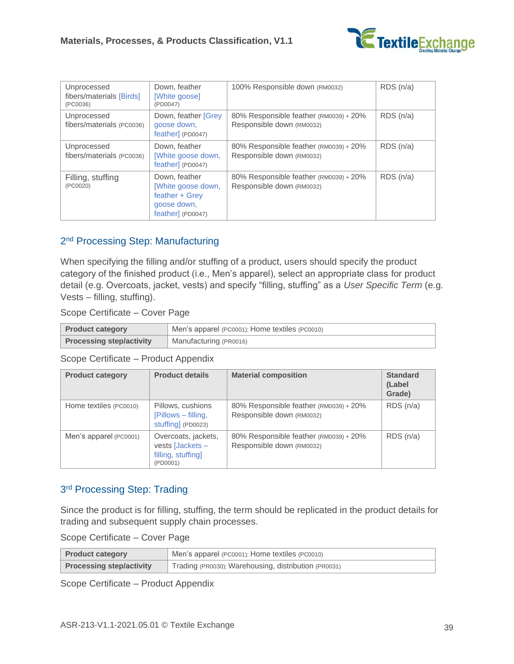

| Unprocessed<br>fibers/materials [Birds]<br>(PC0036) | Down, feather<br>[White goose]<br>(PD0047)                                                | 100% Responsible down (RM0032)                                      | RDS(n/a) |
|-----------------------------------------------------|-------------------------------------------------------------------------------------------|---------------------------------------------------------------------|----------|
| Unprocessed<br>fibers/materials (PC0036)            | Down, feather [Grey<br>goose down,<br>feather] (PD0047)                                   | 80% Responsible feather (RM0039) + 20%<br>Responsible down (RM0032) | RDS(n/a) |
| Unprocessed<br>fibers/materials (PC0036)            | Down, feather<br>[White goose down,<br>feather] (PD0047)                                  | 80% Responsible feather (RM0039) + 20%<br>Responsible down (RM0032) | RDS(n/a) |
| Filling, stuffing<br>(PC0020)                       | Down, feather<br>[White goose down,<br>feather + Grey<br>goose down,<br>feather] (PD0047) | 80% Responsible feather (RM0039) + 20%<br>Responsible down (RM0032) | RDS(n/a) |

#### 2<sup>nd</sup> Processing Step: Manufacturing

When specifying the filling and/or stuffing of a product, users should specify the product category of the finished product (i.e., Men's apparel), select an appropriate class for product detail (e.g. Overcoats, jacket, vests) and specify "filling, stuffing" as a *[User Specific Term](#page-6-0)* (e.g. Vests – filling, stuffing).

Scope Certificate – Cover Page

| <b>Product category</b>         | Men's apparel (PC0001); Home textiles (PC0010) |  |  |
|---------------------------------|------------------------------------------------|--|--|
| <b>Processing step/activity</b> | Manufacturing (PR0016)                         |  |  |

Scope Certificate – Product Appendix

| <b>Product category</b> | <b>Product details</b>                                                    | <b>Material composition</b>                                         | <b>Standard</b><br>(Label<br>Grade) |
|-------------------------|---------------------------------------------------------------------------|---------------------------------------------------------------------|-------------------------------------|
| Home textiles (PC0010)  | Pillows, cushions<br>[Pillows – filling,<br>stuffing] (PD0023)            | 80% Responsible feather (RM0039) + 20%<br>Responsible down (RM0032) | RDS(n/a)                            |
| Men's apparel (PC0001)  | Overcoats, jackets,<br>vests [Jackets -<br>filling, stuffing]<br>(PD0001) | 80% Responsible feather (RM0039) + 20%<br>Responsible down (RM0032) | RDS(n/a)                            |

#### 3<sup>rd</sup> Processing Step: Trading

Since the product is for filling, stuffing, the term should be replicated in the product details for trading and subsequent supply chain processes.

Scope Certificate – Cover Page

| <b>Product category</b>         | △ Men's apparel (PC0001); Home textiles (PC0010)     |  |
|---------------------------------|------------------------------------------------------|--|
| <b>Processing step/activity</b> | Trading (PR0030); Warehousing, distribution (PR0031) |  |